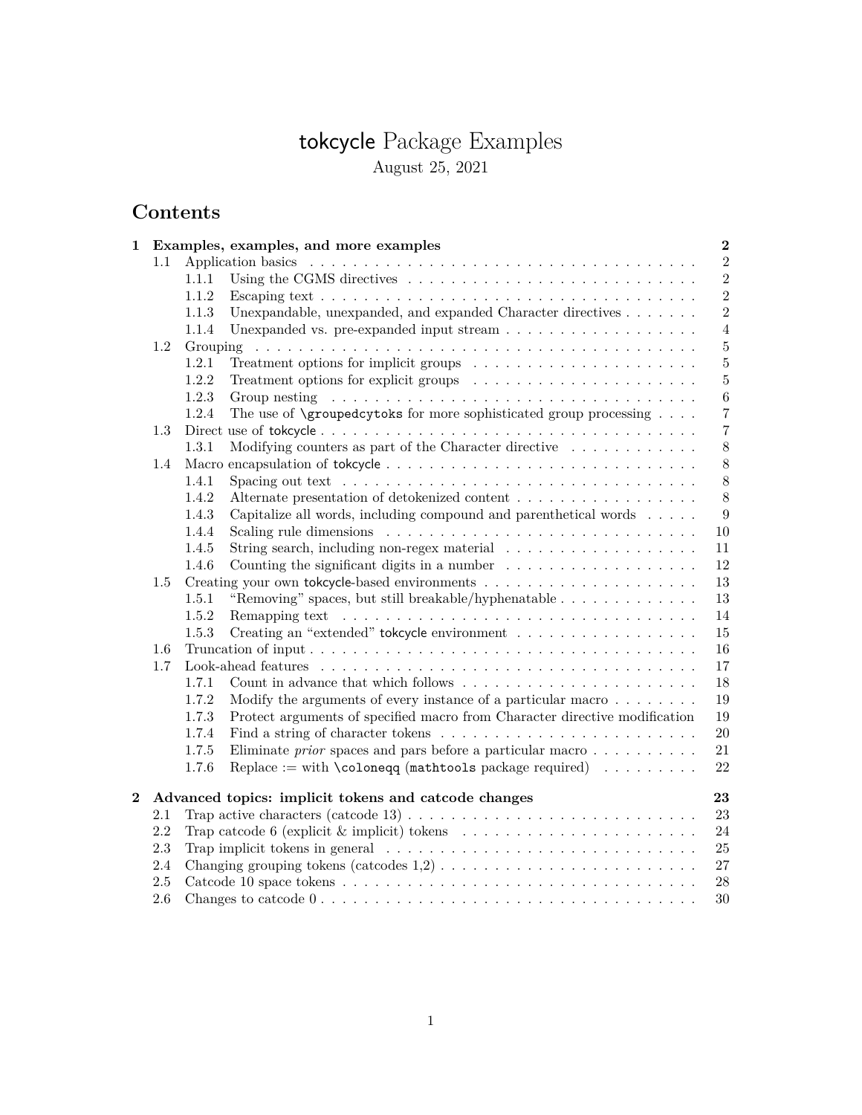# tokcycle Package Examples August 25, 2021

# **Contents**

| 1 |         | Examples, examples, and more examples<br>$\bf 2$                                                                     |  |  |
|---|---------|----------------------------------------------------------------------------------------------------------------------|--|--|
|   | 1.1     | $\,2$                                                                                                                |  |  |
|   |         | $\overline{2}$<br>1.1.1                                                                                              |  |  |
|   |         | $\overline{2}$<br>1.1.2                                                                                              |  |  |
|   |         | $\overline{2}$<br>1.1.3<br>Unexpandable, unexpanded, and expanded Character directives                               |  |  |
|   |         | 1.1.4<br>$\overline{4}$                                                                                              |  |  |
|   | 1.2     |                                                                                                                      |  |  |
|   |         | $\bf 5$<br>Treatment options for implicit groups $\ldots \ldots \ldots \ldots \ldots \ldots \ldots$<br>1.2.1         |  |  |
|   |         | 1.2.2<br>$\bf 5$<br>Treatment options for explicit groups $\ldots \ldots \ldots \ldots \ldots \ldots$                |  |  |
|   |         | 1.2.3<br>$\,6\,$                                                                                                     |  |  |
|   |         | The use of $\qquad$ variables for more sophisticated group processing<br>1.2.4<br>$\overline{7}$                     |  |  |
|   | 1.3     | $\overline{7}$                                                                                                       |  |  |
|   |         | $8\,$<br>1.3.1<br>Modifying counters as part of the Character directive $\dots \dots \dots \dots$                    |  |  |
|   | 1.4     | $8\,$                                                                                                                |  |  |
|   |         | $8\,$<br>1.4.1                                                                                                       |  |  |
|   |         | 1.4.2<br>Alternate presentation of detokenized content<br>8                                                          |  |  |
|   |         | 1.4.3<br>Capitalize all words, including compound and parenthetical words<br>9                                       |  |  |
|   |         | 1.4.4<br>10                                                                                                          |  |  |
|   |         | 1.4.5<br>11                                                                                                          |  |  |
|   |         | Counting the significant digits in a number $\dots \dots \dots \dots \dots \dots$<br>1.4.6<br>12                     |  |  |
|   | 1.5     | 13                                                                                                                   |  |  |
|   |         | "Removing" spaces, but still breakable/hyphenatable<br>1.5.1<br>13                                                   |  |  |
|   |         | 1.5.2<br>14                                                                                                          |  |  |
|   |         | Creating an "extended" tokcycle environment<br>1.5.3<br>15                                                           |  |  |
|   | 1.6     | 16                                                                                                                   |  |  |
|   | 1.7     | 17                                                                                                                   |  |  |
|   |         | 1.7.1<br>Count in advance that which follows $\dots \dots \dots \dots \dots \dots \dots \dots$<br>18                 |  |  |
|   |         | 1.7.2<br>Modify the arguments of every instance of a particular macro $\dots \dots$<br>19                            |  |  |
|   |         | Protect arguments of specified macro from Character directive modification<br>1.7.3<br>19                            |  |  |
|   |         | 1.7.4<br>$20\,$                                                                                                      |  |  |
|   |         | Eliminate <i>prior</i> spaces and pars before a particular macro $\ldots \ldots \ldots$<br>1.7.5<br>21               |  |  |
|   |         | Replace := with \coloneqq (mathtools package required) $\dots \dots$<br>1.7.6<br>22                                  |  |  |
|   |         |                                                                                                                      |  |  |
| 2 |         | Advanced topics: implicit tokens and catcode changes<br>23                                                           |  |  |
|   | 2.1     | 23                                                                                                                   |  |  |
|   | 2.2     | Trap catcode 6 (explicit & implicit) tokens $\ldots \ldots \ldots \ldots \ldots \ldots \ldots$<br>24                 |  |  |
|   | 2.3     | Trap implicit tokens in general $\ldots \ldots \ldots \ldots \ldots \ldots \ldots \ldots \ldots \ldots$<br>25        |  |  |
|   | 2.4     | 27                                                                                                                   |  |  |
|   | 2.5     | $28\,$                                                                                                               |  |  |
|   | $2.6\,$ | Changes to catcode $0 \ldots \ldots \ldots \ldots \ldots \ldots \ldots \ldots \ldots \ldots \ldots \ldots$<br>$30\,$ |  |  |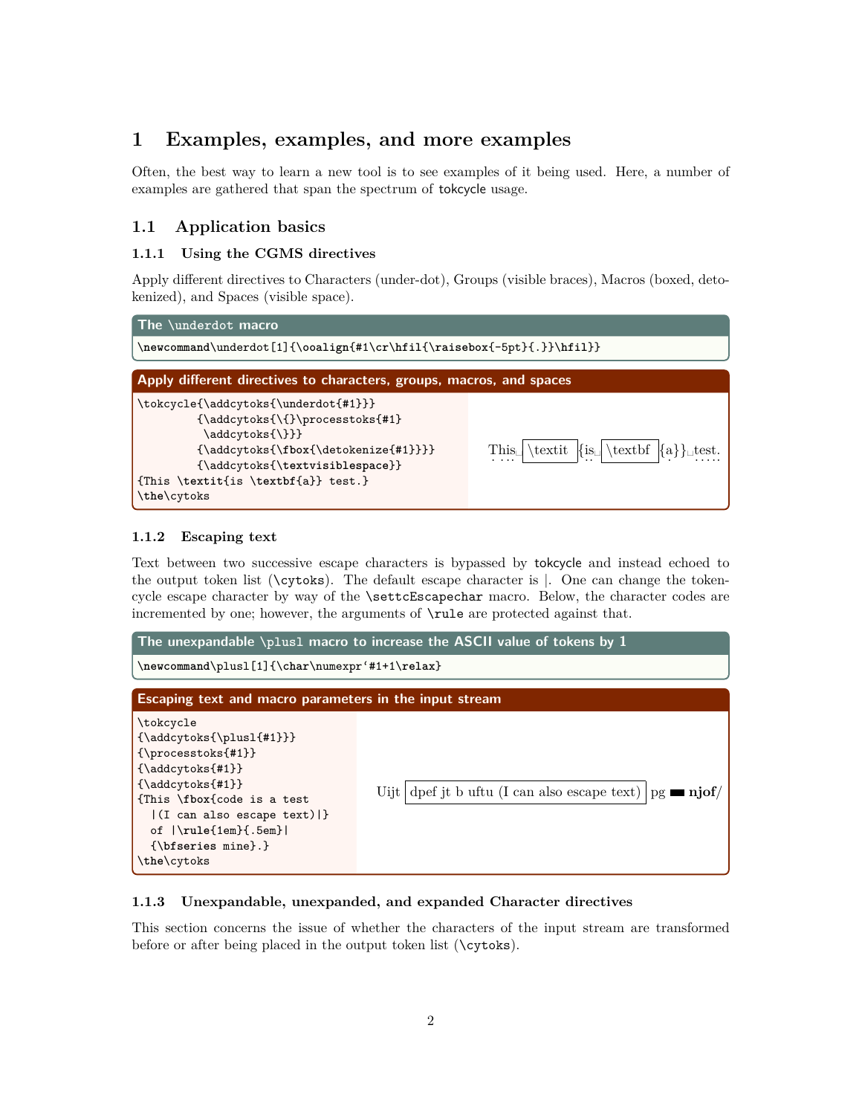# **1 Examples, examples, and more examples**

Often, the best way to learn a new tool is to see examples of it being used. Here, a number of examples are gathered that span the spectrum of tokcycle usage.

# **1.1 Application basics**

#### **1.1.1 Using the CGMS directives**

Apply different directives to Characters (under-dot), Groups (visible braces), Macros (boxed, detokenized), and Spaces (visible space).



#### **1.1.2 Escaping text**

Text between two successive escape characters is bypassed by tokcycle and instead echoed to the output token list (\cytoks). The default escape character is |. One can change the tokencycle escape character by way of the \settcEscapechar macro. Below, the character codes are incremented by one; however, the arguments of \rule are protected against that.



#### **1.1.3 Unexpandable, unexpanded, and expanded Character directives**

This section concerns the issue of whether the characters of the input stream are transformed before or after being placed in the output token list (\cytoks).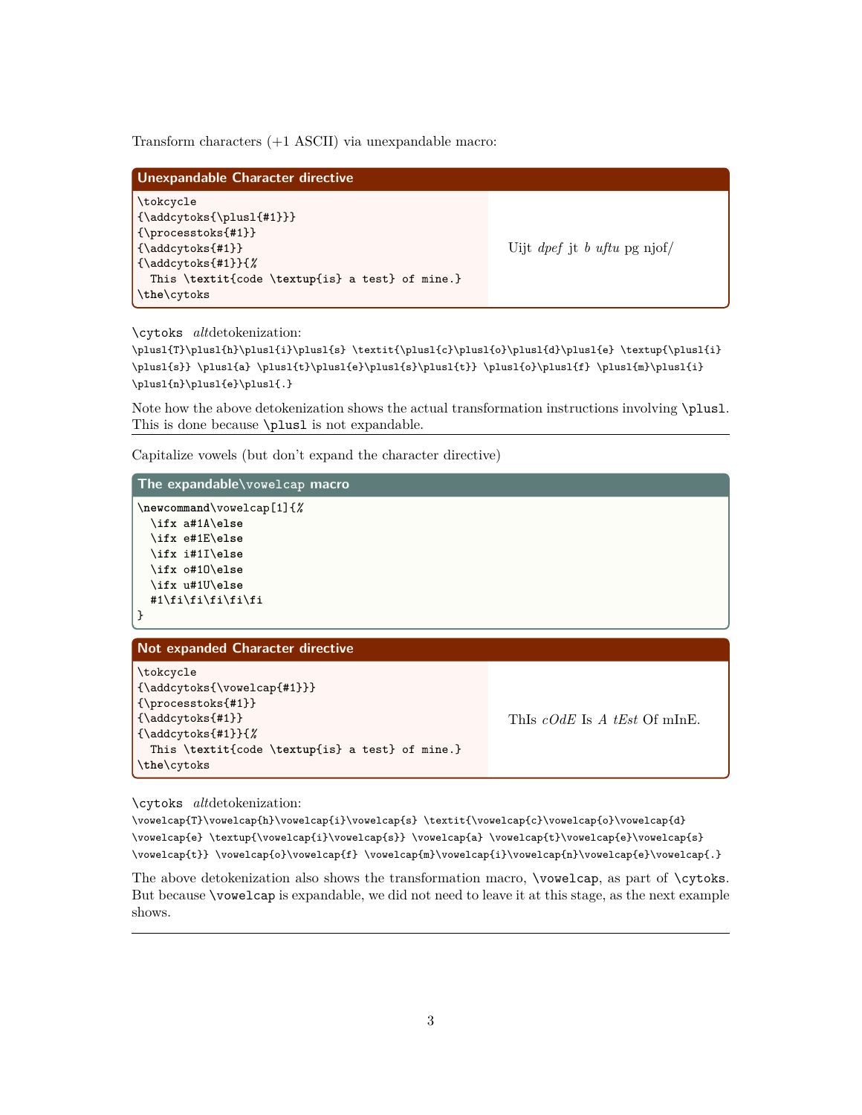Transform characters (+1 ASCII) via unexpandable macro:

| Unexpandable Character directive                                                                                                                                                       |                                            |  |
|----------------------------------------------------------------------------------------------------------------------------------------------------------------------------------------|--------------------------------------------|--|
| \tokcycle<br>$\{\adcyts\{\plus1\{#1\}\}\}$<br>$\{\preccurlyeq\$<br>$\{\hat{\mathcal{L}}\}$<br>$\{\hat{z}(\hat{z})\}$<br>This \textit{code \textup{is} a test} of mine.}<br>\the\cytoks | Uijt <i>dpef</i> jt <i>b uftu</i> pg njof/ |  |

\cytoks *alt*detokenization:

 $\Delta_{\phi}\$ \plusl{s}} \plusl{a} \plusl{t}\plusl{e}\plusl{s}\plusl{t}} \plusl{o}\plusl{f} \plusl{m}\plusl{i}  $\label{lem:main} $$\plus l_{n}\plus l_{e}\right\le1{.}$ 

Note how the above detokenization shows the actual transformation instructions involving \plusl. This is done because \plusl is not expandable.

Capitalize vowels (but don't expand the character directive)

| The expandable\vowelcap macro                                            |                              |  |
|--------------------------------------------------------------------------|------------------------------|--|
| $\newcommand{\v0}{newcommand{\v0}{\calW}}$ and $\newcommand{\v0}{\calW}$ |                              |  |
| \ifx a#1A\else                                                           |                              |  |
| \ifx e#1E\else                                                           |                              |  |
| \ifx i#1I\else                                                           |                              |  |
| \ifx o#10\else                                                           |                              |  |
| \ifx u#1U\else                                                           |                              |  |
| #1\fi\fi\fi\fi\fi                                                        |                              |  |
| }                                                                        |                              |  |
|                                                                          |                              |  |
| <b>Not expanded Character directive</b>                                  |                              |  |
| \tokcycle                                                                |                              |  |
| ${\addcytoks{\vowelcap{#1}}\}$                                           |                              |  |
| ${\preccurlyeq}$                                                         |                              |  |
| ${\addcytoks{#1}}$                                                       | This cOdE is A tEst Of minE. |  |
| ${\addcytoks{#1}}.{\%}$                                                  |                              |  |
| This \textit{code \textup{is} a test} of mine.}                          |                              |  |
| \the\cytoks                                                              |                              |  |

\cytoks *alt*detokenization:

\vowelcap{T}\vowelcap{h}\vowelcap{i}\vowelcap{s} \textit{\vowelcap{c}\vowelcap{o}\vowelcap{d}} \vowelcap{e} \textup{\vowelcap{i}\vowelcap{s}} \vowelcap{a} \vowelcap{t}\vowelcap{e}\vowelcap{s} \vowelcap{t}} \vowelcap{o}\vowelcap{f} \vowelcap{m}\vowelcap{i}\vowelcap{n}\vowelcap{e}\vowelcap{.}

The above detokenization also shows the transformation macro, \vowelcap, as part of \cytoks. But because \vowelcap is expandable, we did not need to leave it at this stage, as the next example shows.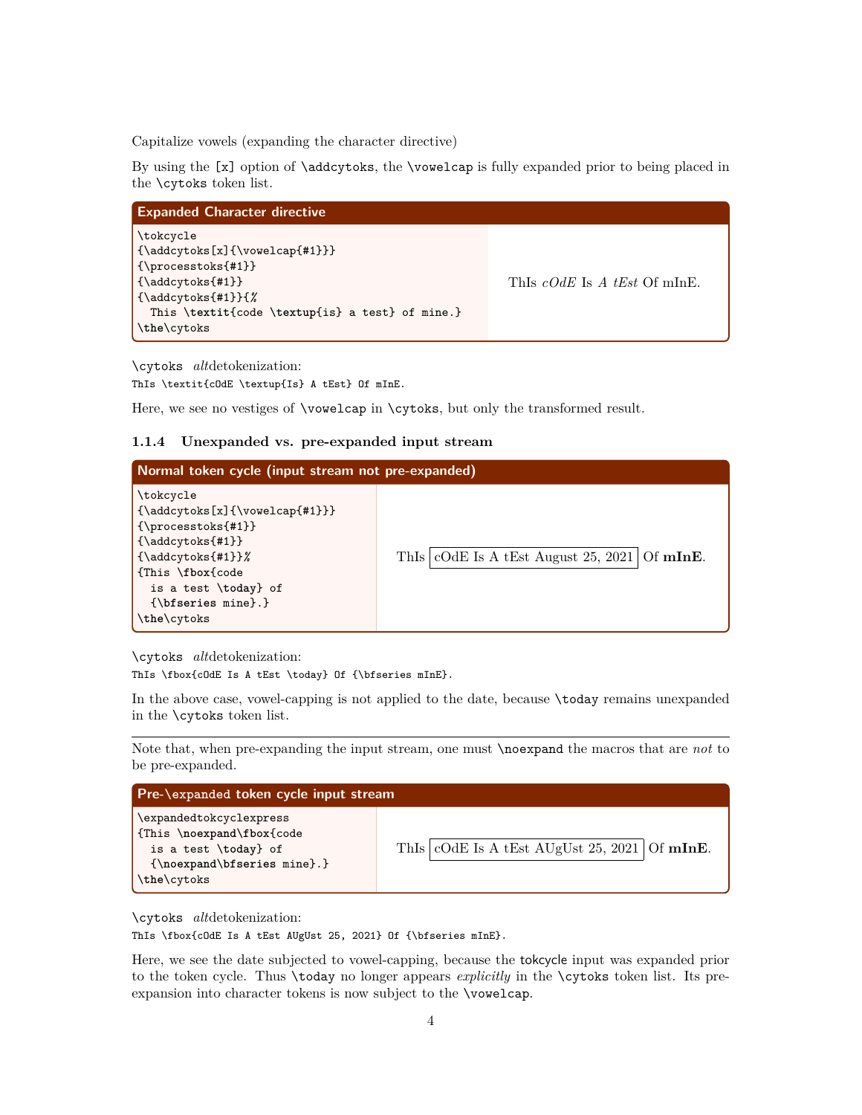Capitalize vowels (expanding the character directive)

By using the [x] option of \addcytoks, the \vowelcap is fully expanded prior to being placed in the \cytoks token list.

| <b>Expanded Character directive</b>                                                                                                                                                                                           |                              |  |
|-------------------------------------------------------------------------------------------------------------------------------------------------------------------------------------------------------------------------------|------------------------------|--|
| \tokcycle<br>$\{\hat{\mathcal{X}}(\overline{\mathcal{H}})\}\$<br>$\{\preccurlyeq\$<br>$\{\hat{\texttt{x}}, \hat{\texttt{f}}\}\$<br>$\{\hat{\mathcal{L}}\}\$<br>This \textit{code \textup{is} a test} of mine.}<br>\the\cytoks | This cOdE is A tEst Of minE. |  |

\cytoks *alt*detokenization: ThIs \textit{cOdE \textup{Is} A tEst} Of mInE.

Here, we see no vestiges of **\vowelcap** in **\cytoks**, but only the transformed result.

#### **1.1.4 Unexpanded vs. pre-expanded input stream**

#### **Normal token cycle (input stream not pre-expanded)** \tokcycle {\addcytoks[x]{\vowelcap{#1}}} {\processtoks{#1}} {\addcytoks{#1}} {\addcytoks{#1}}*%* {This \**fbox**{code is a test \**today**} of {\**bfseries** mine}.} \**the**\cytoks ThIs  $| \text{COdE}$  Is A tEst August 25, 2021 Of mInE.

\cytoks *alt*detokenization:

ThIs \fbox{cOdE Is A tEst \today} Of {\bfseries mInE}.

In the above case, vowel-capping is not applied to the date, because \today remains unexpanded in the \cytoks token list.

Note that, when pre-expanding the input stream, one must \noexpand the macros that are *not* to be pre-expanded.

| Pre-\expanded token cycle input stream                                                                                                |  |                                                           |
|---------------------------------------------------------------------------------------------------------------------------------------|--|-----------------------------------------------------------|
| \expandedtokcyclexpress<br>{This \noexpand\fbox{code<br>is a test \today} of<br>$\{ \noexpand \bf \b{series mine}. \}$<br>\the\cytoks |  | This $  \text{cOdE}$ is A tEst AUgUst 25, 2021   Of mInE. |

\cytoks *alt*detokenization:

ThIs \fbox{cOdE Is A tEst AUgUst 25, 2021} Of {\bfseries mInE}.

Here, we see the date subjected to vowel-capping, because the tokcycle input was expanded prior to the token cycle. Thus \today no longer appears *explicitly* in the \cytoks token list. Its preexpansion into character tokens is now subject to the \vowelcap.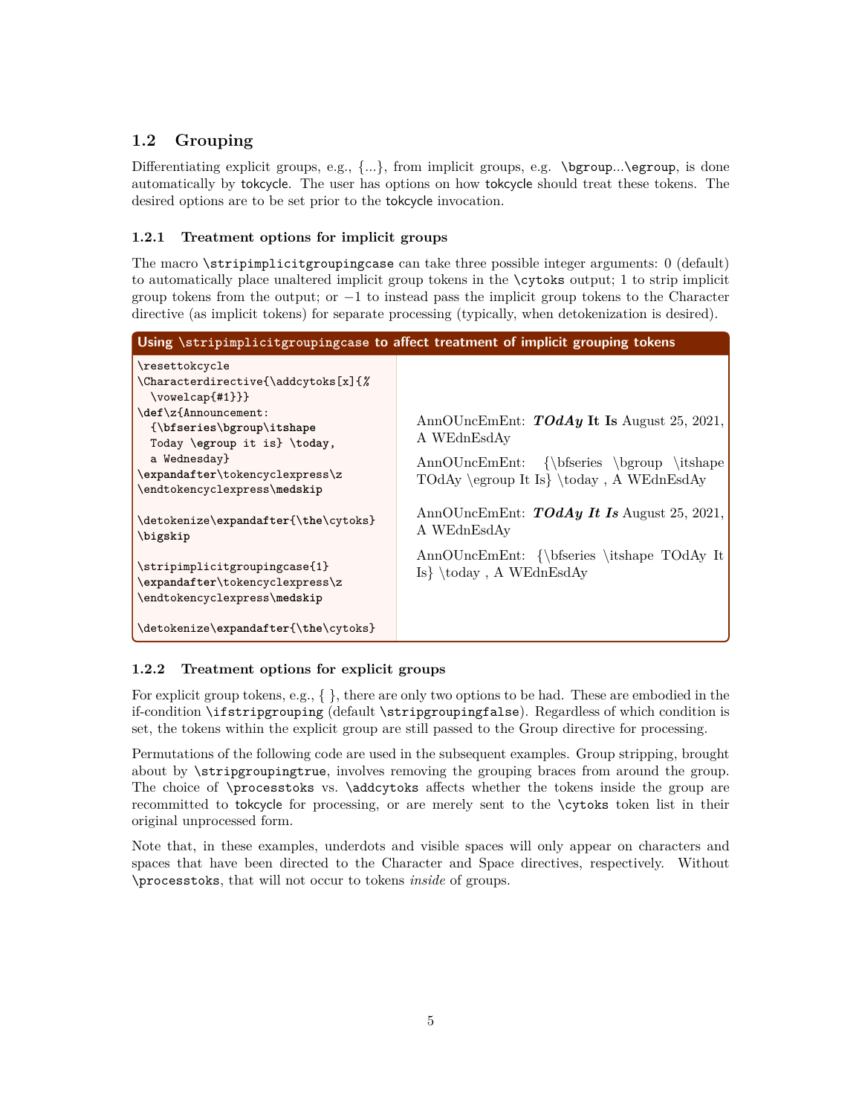# **1.2 Grouping**

Differentiating explicit groups, e.g.,  $\{\ldots\}$ , from implicit groups, e.g. \bgroup...\egroup, is done automatically by tokcycle. The user has options on how tokcycle should treat these tokens. The desired options are to be set prior to the tokcycle invocation.

### **1.2.1 Treatment options for implicit groups**

The macro \stripimplicitgroupingcase can take three possible integer arguments: 0 (default) to automatically place unaltered implicit group tokens in the \cytoks output; 1 to strip implicit group tokens from the output; or  $-1$  to instead pass the implicit group tokens to the Character directive (as implicit tokens) for separate processing (typically, when detokenization is desired).

| Using \stripimplicitgroupingcase to affect treatment of implicit grouping tokens                                                                                                                                                                                   |                                                                                                                                                             |  |
|--------------------------------------------------------------------------------------------------------------------------------------------------------------------------------------------------------------------------------------------------------------------|-------------------------------------------------------------------------------------------------------------------------------------------------------------|--|
| \resettokcycle<br>\Characterdirective{\addcytoks[x]{%<br>$\forall$ vowelcap $\{ \# 1 \}$ }<br>\def\z{Announcement:<br>{\bfseries\bgroup\itshape<br>Today \egroup it is} \today,<br>a Wednesday}<br>\expandafter\tokencyclexpress\z<br>\endtokencyclexpress\medskip | AnnOUncEmEnt: $\text{TO}dAy$ It Is August 25, 2021,<br>A WEdnEsdAy<br>AnnOUncEmEnt: {\bfseries \bgroup \itshape<br>TOdAy \egroup It Is} \today, A WEdnEsdAy |  |
| \detokenize\expandafter{\the\cytoks}<br>\bigskip                                                                                                                                                                                                                   | AnnOUncEmEnt: <b>TOdAy It Is</b> August 25, 2021,<br>A WEdnEsdAy                                                                                            |  |
| \stripimplicitgroupingcase{1}<br>\expandafter\tokencyclexpress\z<br>\endtokencyclexpress\medskip                                                                                                                                                                   | AnnOUncEmEnt: {\bfseries \itshape TOdAy It<br>$Is\ \cdot A \text{WEdnEsddy}$                                                                                |  |
| \detokenize\expandafter{\the\cytoks}                                                                                                                                                                                                                               |                                                                                                                                                             |  |

# **1.2.2 Treatment options for explicit groups**

For explicit group tokens, e.g.,  $\{\}$ , there are only two options to be had. These are embodied in the if-condition \ifstripgrouping (default \stripgroupingfalse). Regardless of which condition is set, the tokens within the explicit group are still passed to the Group directive for processing.

Permutations of the following code are used in the subsequent examples. Group stripping, brought about by \stripgroupingtrue, involves removing the grouping braces from around the group. The choice of \processtoks vs. \addcytoks affects whether the tokens inside the group are recommitted to tokcycle for processing, or are merely sent to the \cytoks token list in their original unprocessed form.

Note that, in these examples, underdots and visible spaces will only appear on characters and spaces that have been directed to the Character and Space directives, respectively. Without \processtoks, that will not occur to tokens *inside* of groups.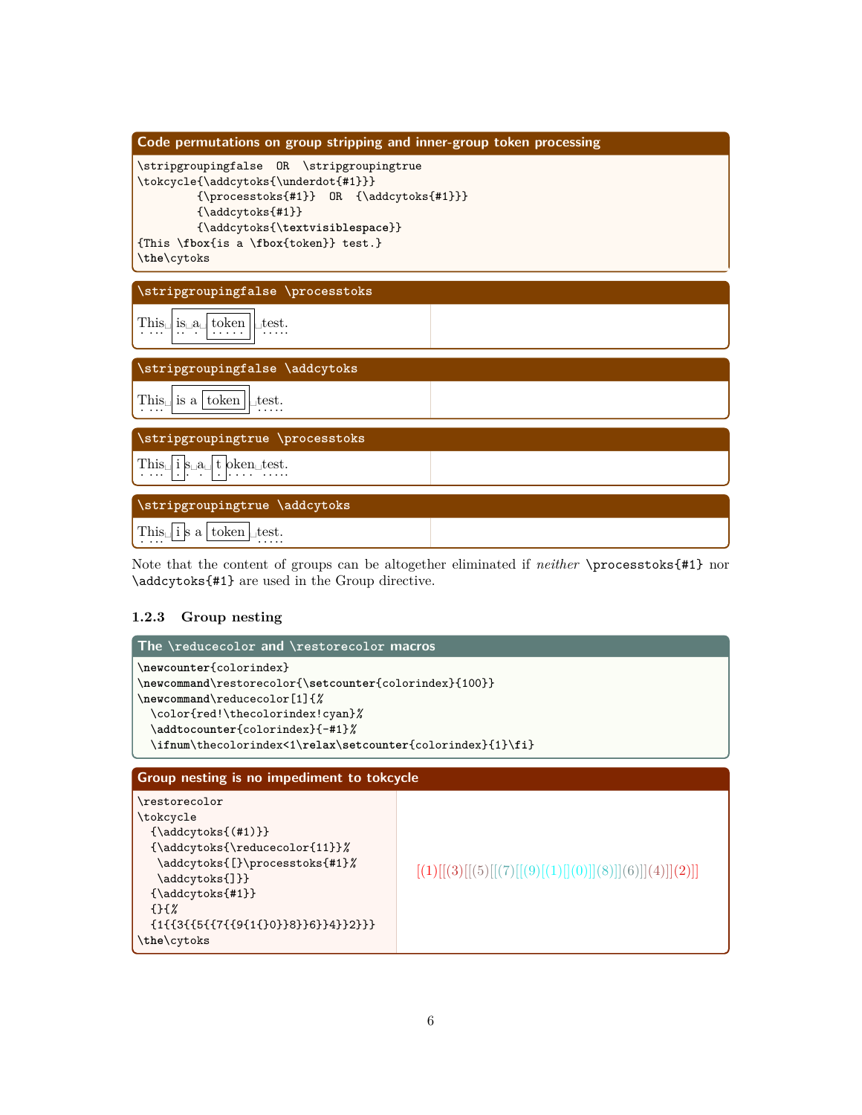

Note that the content of groups can be altogether eliminated if *neither* \processtoks{#1} nor \addcytoks{#1} are used in the Group directive.

# **1.2.3 Group nesting**

| The $\lvert$ reducecolor and $\lvert$ restorecolor macros                                                                                                                                                                                              |                                                        |  |
|--------------------------------------------------------------------------------------------------------------------------------------------------------------------------------------------------------------------------------------------------------|--------------------------------------------------------|--|
| \newcounter{colorindex}<br>\newcommand\restorecolor{\setcounter{colorindex}{100}}<br>\newcommand\reducecolor[1]{%<br>\color{red!\thecolorindex!cyan}%<br>\addtocounter{colorindex}{-#1}%<br>\ifnum\thecolorindex<1\relax\setcounter{colorindex}{1}\fi} |                                                        |  |
| Group nesting is no impediment to tokcycle                                                                                                                                                                                                             |                                                        |  |
| \restorecolor<br>\tokcycle<br>$\{\addcytoks\((#1)\}\$<br>${\addcytoks{\reducecolor{blue}{11}}\}$<br>\addcytoks{[}\processtoks{#1}%<br>\addcytoks{]}}<br>${\adcytoks{#1}}$<br>$\{$ } $\{$ $\%$<br>${1}{3}{6}{7}{1}{9}{1}{1}{10}$<br>\the\cytoks         | $[(1)][(3)][(5)][(7)][(9)[(1)][0]](8)][(6)][(4)]](2)]$ |  |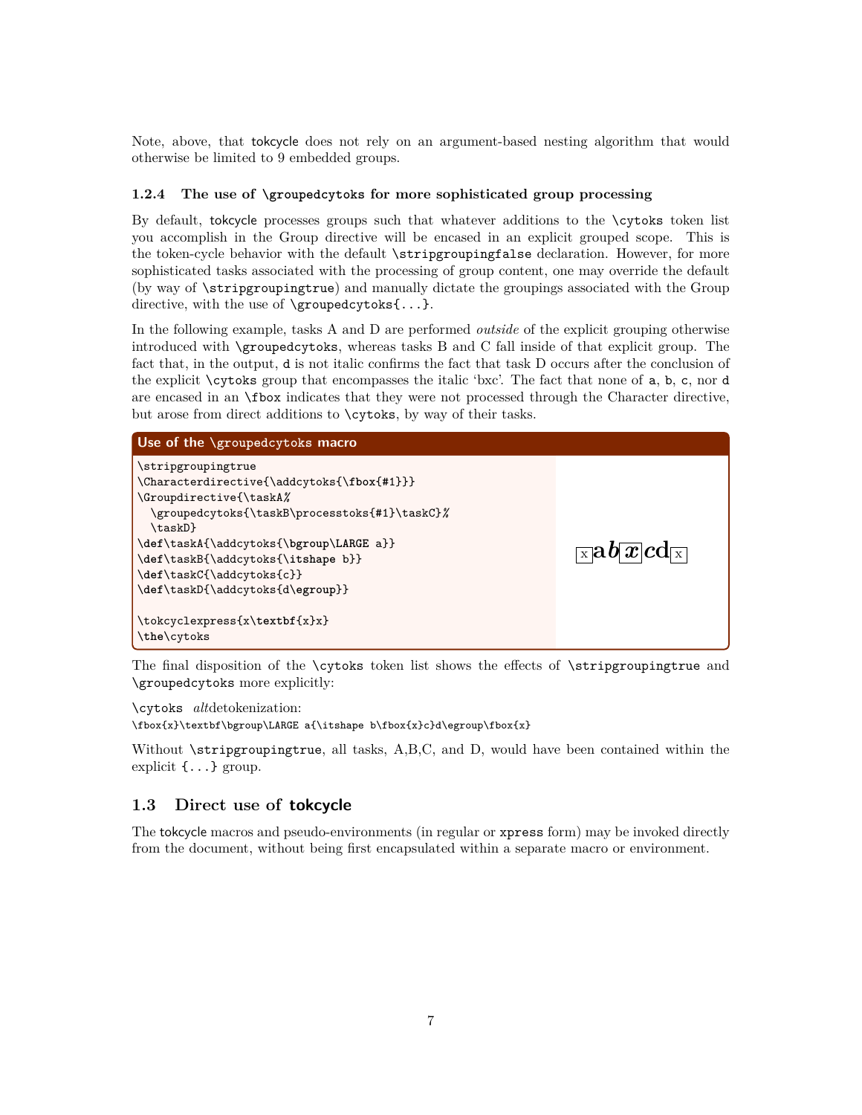Note, above, that tokcycle does not rely on an argument-based nesting algorithm that would otherwise be limited to 9 embedded groups.

#### **1.2.4 The use of \groupedcytoks for more sophisticated group processing**

By default, tokcycle processes groups such that whatever additions to the \cytoks token list you accomplish in the Group directive will be encased in an explicit grouped scope. This is the token-cycle behavior with the default \stripgroupingfalse declaration. However, for more sophisticated tasks associated with the processing of group content, one may override the default (by way of \stripgroupingtrue) and manually dictate the groupings associated with the Group directive, with the use of  $\qquad$   $\gamma$ .

In the following example, tasks A and D are performed *outside* of the explicit grouping otherwise introduced with \groupedcytoks, whereas tasks B and C fall inside of that explicit group. The fact that, in the output, d is not italic confirms the fact that task D occurs after the conclusion of the explicit \cytoks group that encompasses the italic 'bxc'. The fact that none of a, b, c, nor d are encased in an \fbox indicates that they were not processed through the Character directive, but arose from direct additions to \cytoks, by way of their tasks.



The final disposition of the \cytoks token list shows the effects of \stripgroupingtrue and \groupedcytoks more explicitly:

\cytoks *alt*detokenization: \fbox{x}\textbf\bgroup\LARGE a{\itshape b\fbox{x}c}d\egroup\fbox{x}

Without \stripgroupingtrue, all tasks, A,B,C, and D, would have been contained within the explicit {...} group.

### **1.3 Direct use of tokcycle**

The tokcycle macros and pseudo-environments (in regular or xpress form) may be invoked directly from the document, without being first encapsulated within a separate macro or environment.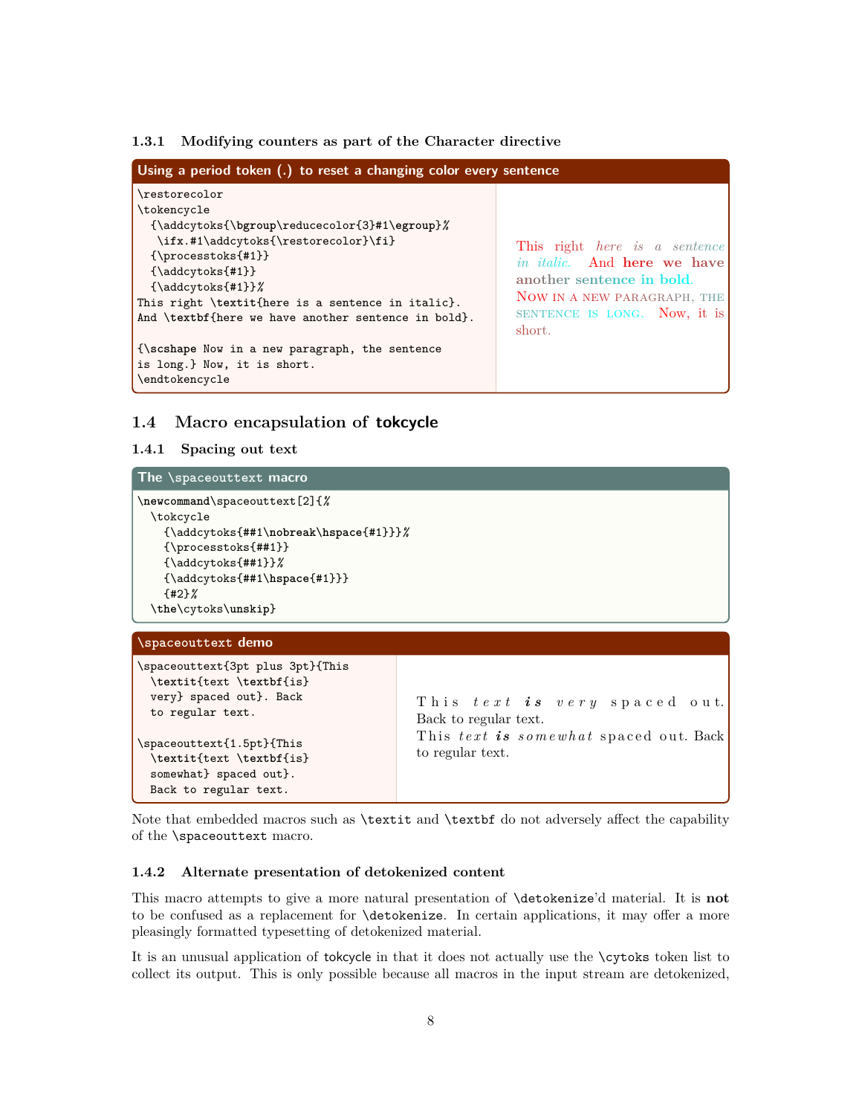#### **1.3.1 Modifying counters as part of the Character directive**

| Using a period token (.) to reset a changing color every sentence                                                                                                                                                                                                                                                 |                                                                                                                                                                                         |  |
|-------------------------------------------------------------------------------------------------------------------------------------------------------------------------------------------------------------------------------------------------------------------------------------------------------------------|-----------------------------------------------------------------------------------------------------------------------------------------------------------------------------------------|--|
| \restorecolor<br>\tokencycle<br>{\addcytoks{\bgroup\reducecolor{3}#1\egroup}%<br>\ifx.#1\addcytoks{\restorecolor}\fi}<br>$\{ \text{processtoks}_{\#1} \}$<br>${\addcytoks{#1}}$<br>${\addcytoks{#1}}$<br>This right \textit{here is a sentence in italic}.<br>And \textbf{here we have another sentence in bold}. | This right <i>here</i> is a sentence<br><i>in italic.</i> And <b>here</b> we have<br>another sentence in bold.<br>NOW IN A NEW PARAGRAPH, THE<br>SENTENCE IS LONG. Now, it is<br>short. |  |
| {\scshape Now in a new paragraph, the sentence<br>is long.} Now, it is short.<br>\endtokencycle                                                                                                                                                                                                                   |                                                                                                                                                                                         |  |

#### **1.4 Macro encapsulation of tokcycle**

#### **1.4.1 Spacing out text**

#### **The \spaceouttext macro**

```
\newcommand\spaceouttext[2]{%
 \tokcycle
   {\addcytoks{##1\nobreak\hspace{#1}}}%
   {\processtoks{##1}}
   {\addcytoks{##1}}%
    {\addcytoks{##1\hspace{#1}}}
    {#2}%
 \the\cytoks\unskip}
```
#### **\spaceouttext demo**

```
\spaceouttext{3pt plus 3pt}{This
 \textit{text \textbf{is}
 very} spaced out}. Back
 to regular text.
\spaceouttext{1.5pt}{This
 \textit{text \textbf{is}
 somewhat} spaced out}.
 Back to regular text.
                                          T h i s t e x t i s v e r y s p a c e d o u t.
                                          Back to regular text.
                                          This text is somewhat spaced out. Back
                                          to regular text.
```
Note that embedded macros such as \textit and \textbf do not adversely affect the capability of the \spaceouttext macro.

#### **1.4.2 Alternate presentation of detokenized content**

This macro attempts to give a more natural presentation of \detokenize'd material. It is **not** to be confused as a replacement for \detokenize. In certain applications, it may offer a more pleasingly formatted typesetting of detokenized material.

It is an unusual application of tokcycle in that it does not actually use the \cytoks token list to collect its output. This is only possible because all macros in the input stream are detokenized,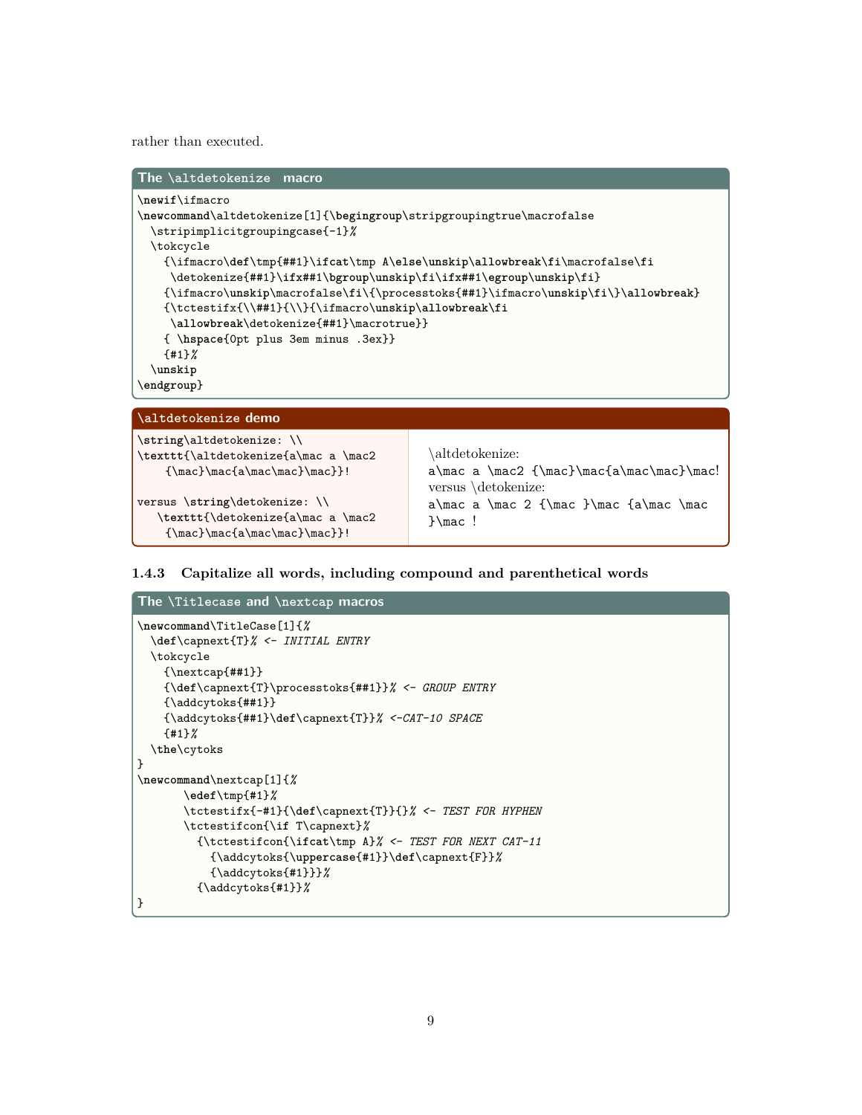rather than executed.

| The <i>\altdetokenize</i> macro                                                                                  |
|------------------------------------------------------------------------------------------------------------------|
| \newif\ifmacro                                                                                                   |
| \newcommand\altdetokenize[1]{\begingroup\stripgroupingtrue\macrofalse                                            |
| \stripimplicitgroupingcase{-1}%                                                                                  |
| \tokcycle                                                                                                        |
| ${\ifmacro\def\tmp{#1}\ifcat\\tmp A\else\unskip\allowbreak\fi\ifucc\alpha\ceth\inf\limits_{\iota\in\mathcal{N}}$ |
| \detokenize{##1}\ifx##1\bgroup\unskip\fi\ifx##1\egroup\unskip\fi}                                                |
| $\{\if{maxro\mask}p\text{s{#1}}\if{maxo\mask}p{1}\label{eq:maxo}$                                                |
|                                                                                                                  |
| \allowbreak\detokenize{##1}\macrotrue}}                                                                          |
| {\tapace{0pt plus 3em minus .3ex}}                                                                               |
| ${41}$                                                                                                           |
| \unskip                                                                                                          |
| \endgroup}                                                                                                       |

#### **\altdetokenize demo**

```
\string\altdetokenize: \\
\texttt{\altdetokenize{a\mac a \mac2
    {\max}}\mac{a\mac\mac}\mac}}!
```

```
versus \string\detokenize: \\
  \texttt{\detokenize{a\mac a \mac2
   {\max}\max\max\max}!
```
\altdetokenize: a\mac a \mac2  ${\max}$ \mac{a\mac\mac}\mac! versus \detokenize: a\mac a \mac 2 {\mac }\mac {a\mac \mac }\mac !

#### **1.4.3 Capitalize all words, including compound and parenthetical words**

```
The \Titlecase and \nextcap macros
\newcommand\TitleCase[1]{%
  \def\capnext{T}% <- INITIAL ENTRY
  \tokcycle
    {\nextcap{##1}}
    {\def\capnext{T}\processtoks{##1}}% <- GROUP ENTRY
    {\addcytoks{##1}}
    {\addcytoks{##1}\def\capnext{T}}% <-CAT-10 SPACE
    {#1}%
  \the\cytoks
}
\newcommand\nextcap[1]{%
       \edef\tmp{#1}%
       \tctestifx{-#1}{\def\capnext{T}}{}% <- TEST FOR HYPHEN
       \tctestifcon{\if T\capnext}%
         {\tctestifcon{\ifcat\tmp A}% <- TEST FOR NEXT CAT-11
           {\addcytoks{\uppercase{#1}}\def\capnext{F}}%
           {\addcytoks{#1}}}%
         {\addcytoks{#1}}%
}
```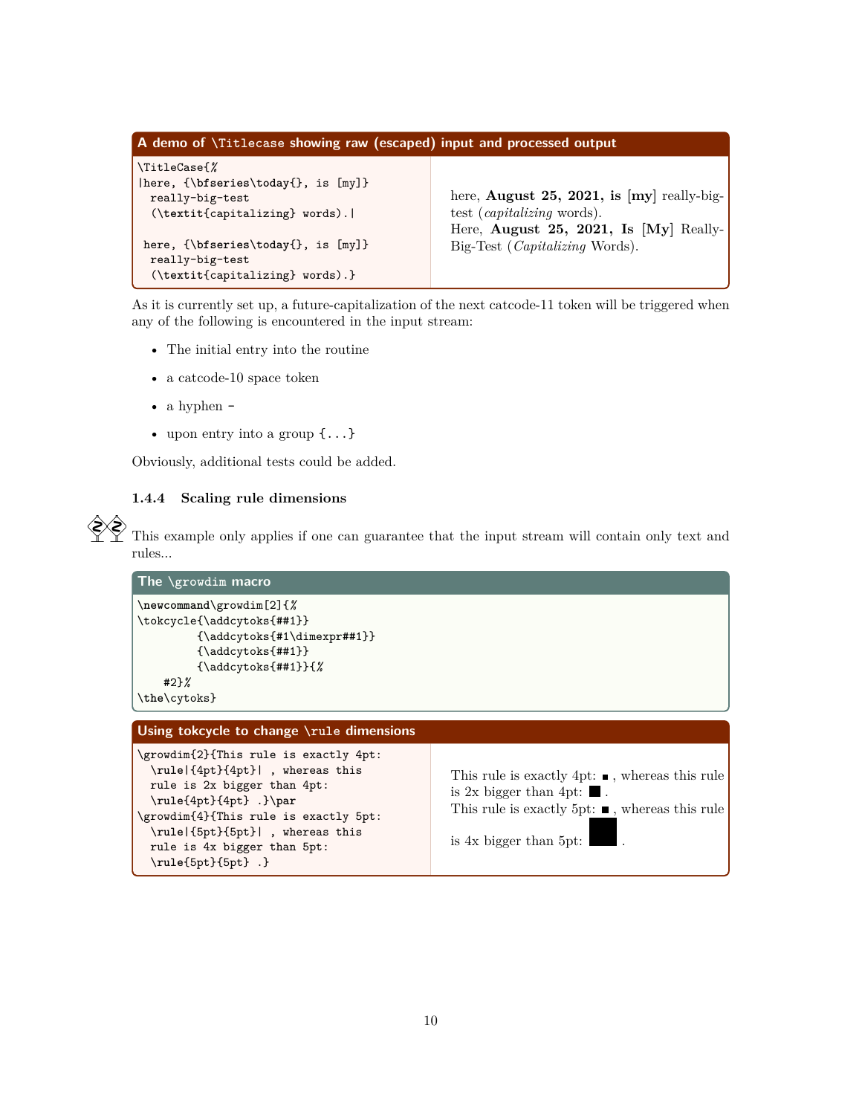```
A demo of \Titlecase showing raw (escaped) input and processed output
\TitleCase{%
|here, {\bfseries\today{}, is [my]}
 really-big-test
 (\textit{capitalizing} words).|
here, {\bfseries\today{}, is [my]}
 really-big-test
  (\textit{capitalizing} words).}
                                               here, August 25, 2021, is [my] really-big-
                                               test (capitalizing words).
                                               Here, August 25, 2021, Is [My] Really-
                                               Big-Test (Capitalizing Words).
```
As it is currently set up, a future-capitalization of the next catcode-11 token will be triggered when any of the following is encountered in the input stream:

- The initial entry into the routine
- a catcode-10 space token
- a hyphen -
- upon entry into a group  $\{\ldots\}$

Obviously, additional tests could be added.

#### **1.4.4 Scaling rule dimensions**

\**rule**{5pt}{5pt} .}

 This example only applies if one can guarantee that the input stream will contain only text and rules...

```
The \growdim macro
\newcommand\growdim[2]{%
\tokcycle{\addcytoks{##1}}
         {\addcytoks{#1\dimexpr##1}}
         {\addcytoks{##1}}
         {\addcytoks{##1}}{%
    #2}%
\the\cytoks}
Using tokcycle to change \rule dimensions
\growdim{2}{This rule is exactly 4pt:
 \rule|{4pt}{4pt}| , whereas this
 rule is 2x bigger than 4pt:
 \rule{4pt}{4pt} .}\par
\growdim{4}{This rule is exactly 5pt:
  \rule|{5pt}{5pt}| , whereas this
 rule is 4x bigger than 5pt:
                                                   This rule is exactly 4pt: \blacksquare, whereas this rule
                                                   is 2x bigger than 4pt: \blacksquare.
                                                   This rule is exactly 5pt: \blacksquare, whereas this rule
                                                   is 4x bigger than 5pt:
```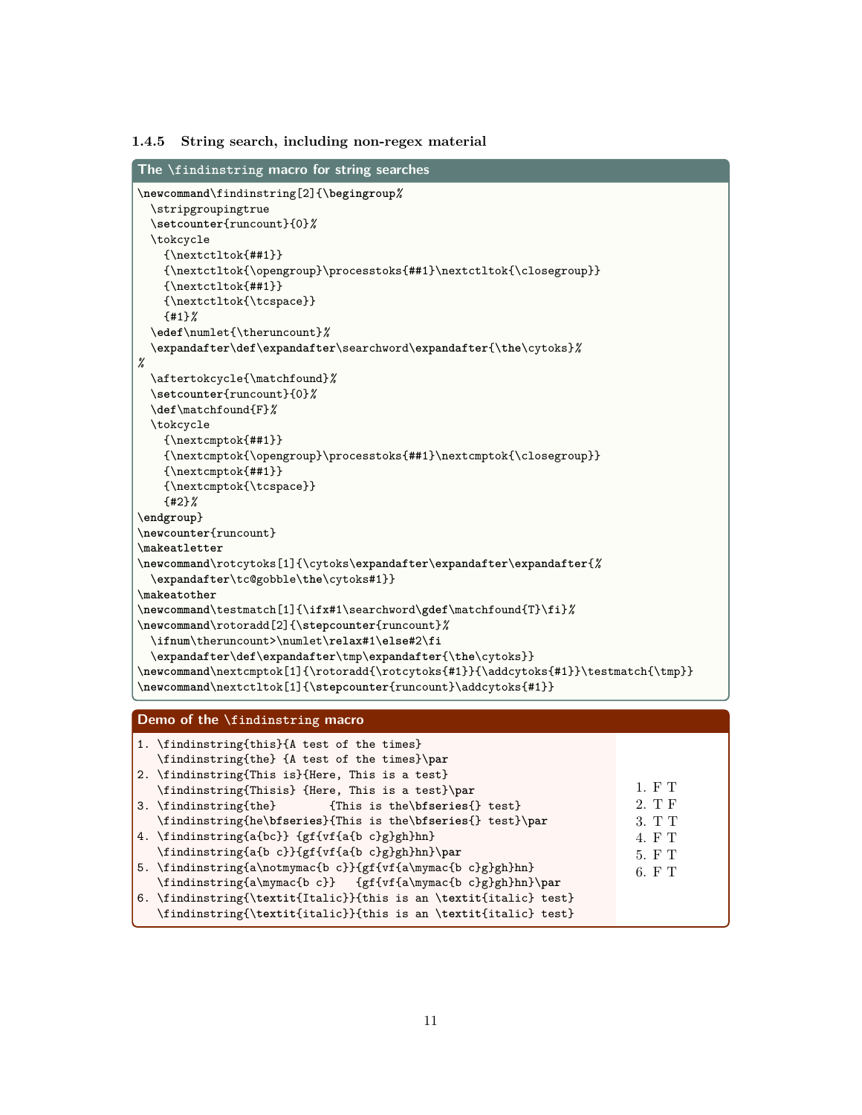#### **1.4.5 String search, including non-regex material**

```
The \findinstring macro for string searches
\newcommand\findinstring[2]{\begingroup%
 \stripgroupingtrue
 \setcounter{runcount}{0}%
 \tokcycle
   {\nextctltok{##1}}
   {\nextctltok{\opengroup}\processtoks{##1}\nextctltok{\closegroup}}
   {\nextctltok{##1}}
   {\nextctltok{\tcspace}}
   {#1}%
 \edef\numlet{\theruncount}%
 \expandafter\def\expandafter\searchword\expandafter{\the\cytoks}%
%
 \aftertokcycle{\matchfound}%
 \setcounter{runcount}{0}%
 \def\matchfound{F}%
 \tokcycle
   {\nextcmptok{##1}}
   {\n    {\n    \Omega}\p    {\n    \} \}{\nextcmptok{##1}}
   {\nextcmptok{\tcspace}}
   {#2}%
\endgroup}
\newcounter{runcount}
\makeatletter
\newcommand\rotcytoks[1]{\cytoks\expandafter\expandafter\expandafter{%
 \expandafter\tc@gobble\the\cytoks#1}}
\makeatother
\newcommand\testmatch[1]{\ifx#1\searchword\gdef\matchfound{T}\fi}%
\newcommand\rotoradd[2]{\stepcounter{runcount}%
 \ifnum\theruncount>\numlet\relax#1\else#2\fi
 \expandafter\def\expandafter\tmp\expandafter{\the\cytoks}}
\newcommand\nextcmptok[1]{\rotoradd{\rotcytoks{#1}}{\addcytoks{#1}}\testmatch{\tmp}}
\newcommand\nextctltok[1]{\stepcounter{runcount}\addcytoks{#1}}
```
#### **Demo of the \findinstring macro**

| 1. \findinstring{this}{A test of the times}<br>\findinstring{the} {A test of the times}\par |        |
|---------------------------------------------------------------------------------------------|--------|
| 2. \findinstring{This is}{Here, This is a test}                                             |        |
| \findinstring{Thisis} {Here, This is a test}\par                                            | 1. F T |
| 3. \findinstring{the} {This is the\bfseries{} test}                                         | 2. T F |
| \findinstring{he\bfseries}{This is the\bfseries{} test}\par                                 | 3. T T |
| 4. \findinstring{a{bc}} {gf{vf{a{b c}g}gh}hn}                                               | 4. F T |
| \findinstring{a{b c}}{gf{vf{a{b c}g}gh}hn}\par                                              | 5. F T |
| 5. \findinstring{a\notmymac{b c}}{gf{vf{a\mymac{b c}g}gh}hn}                                | 6. F T |
| \findinstring{a\mymac{b c}} {gf{vf{a\mymac{b c}g}gh}hn}\par                                 |        |
| 6. \findinstring{\textit{Italic}}{this is an \textit{italic} test}                          |        |
| \findinstring{\textit{italic}}{this is an \textit{italic} test}                             |        |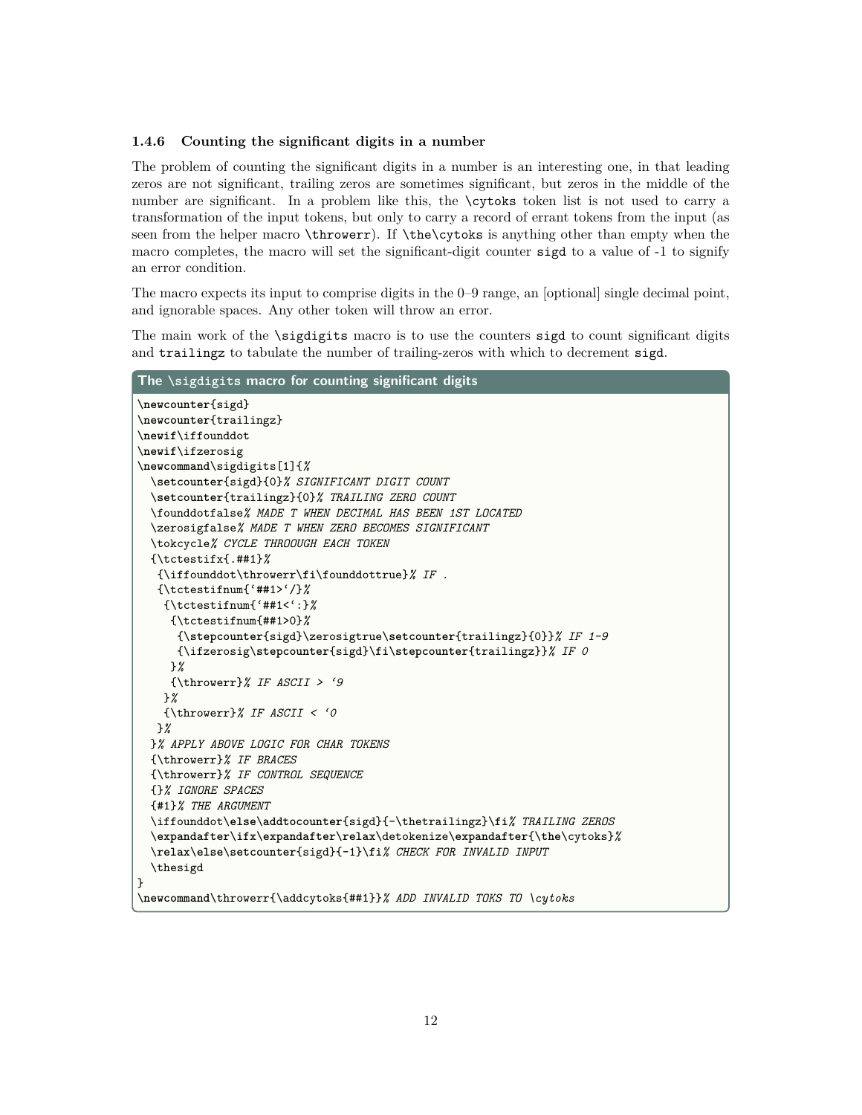#### **1.4.6 Counting the significant digits in a number**

The problem of counting the significant digits in a number is an interesting one, in that leading zeros are not significant, trailing zeros are sometimes significant, but zeros in the middle of the number are significant. In a problem like this, the \cytoks token list is not used to carry a transformation of the input tokens, but only to carry a record of errant tokens from the input (as seen from the helper macro \throwerr). If \the\cytoks is anything other than empty when the macro completes, the macro will set the significant-digit counter sigd to a value of -1 to signify an error condition.

The macro expects its input to comprise digits in the 0–9 range, an [optional] single decimal point, and ignorable spaces. Any other token will throw an error.

The main work of the \sigdigits macro is to use the counters sigd to count significant digits and trailingz to tabulate the number of trailing-zeros with which to decrement sigd.

```
The \sigdigits macro for counting significant digits
\newcounter{sigd}
\newcounter{trailingz}
\newif\iffounddot
\newif\ifzerosig
\newcommand\sigdigits[1]{%
  \setcounter{sigd}{0}% SIGNIFICANT DIGIT COUNT
  \setcounter{trailingz}{0}% TRAILING ZERO COUNT
  \founddotfalse% MADE T WHEN DECIMAL HAS BEEN 1ST LOCATED
  \zerosigfalse% MADE T WHEN ZERO BECOMES SIGNIFICANT
  \tokcycle% CYCLE THROOUGH EACH TOKEN
  {\tctestifx{.##1}%
   {\iffounddot\throwerr\fi\founddottrue}% IF .
   {\tctestifnum{'##1>'/}%
    {\tctestifnum{'##1<':}%
     {\tctestifnum{##1>0}%
      {\stepcounter{sigd}\zerosigtrue\setcounter{trailingz}{0}}% IF 1-9
      {\ifzerosig\stepcounter{sigd}\fi\stepcounter{trailingz}}% IF 0
     }%
     {\throwerr}% IF ASCII > '9
    }%
    {\throwerr}% IF ASCII < '0
   }%
  }% APPLY ABOVE LOGIC FOR CHAR TOKENS
  {\throwerr}% IF BRACES
  {\throwerr}% IF CONTROL SEQUENCE
  {}% IGNORE SPACES
  {#1}% THE ARGUMENT
  \iffounddot\else\addtocounter{sigd}{-\thetrailingz}\fi% TRAILING ZEROS
  \expandafter\ifx\expandafter\relax\detokenize\expandafter{\the\cytoks}%
  \relax\else\setcounter{sigd}{-1}\fi% CHECK FOR INVALID INPUT
  \thesigd
}
\newcommand\throwerr{\addcytoks{##1}}% ADD INVALID TOKS TO \cytoks
```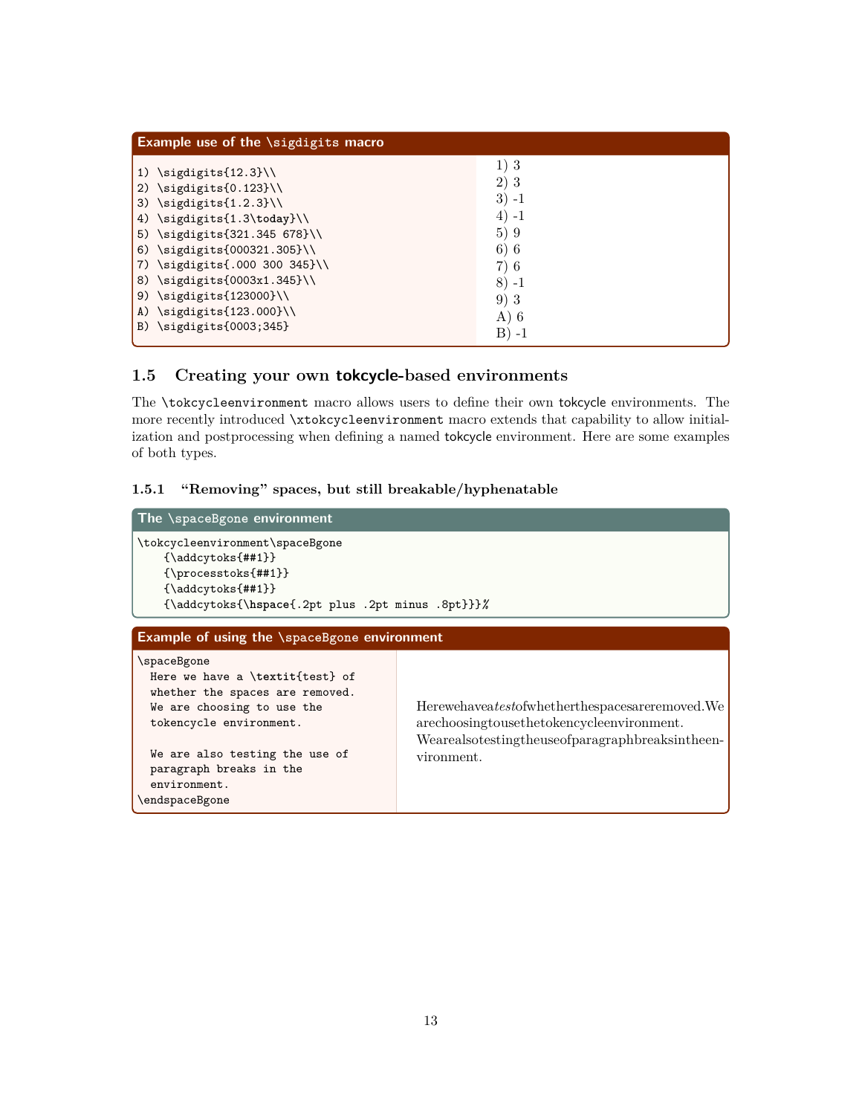| Example use of the $\sigma$ igdigits macro                                                                                                                                                                                                                                        |                                                                                 |  |
|-----------------------------------------------------------------------------------------------------------------------------------------------------------------------------------------------------------------------------------------------------------------------------------|---------------------------------------------------------------------------------|--|
| 1) $\sigma(12.3)$<br>2) $\sigma(0.123)$<br>3) $\sigma(1.2.3)$<br>4) \sigdigits{1.3\today}\\<br>5) \sigdigits{321.345 678}\\<br>6) \sigdigits{000321.305}\\<br>7) \sigdigits{.000 300 345}\\<br>8) \sigdigits{0003x1.345}\\<br>9) \sigdigits{123000}\\<br>A) \sigdigits{123.000}\\ | 1)3<br>2)<br>-3<br>$3) - 1$<br>$(4) -1$<br>5)9<br>6)6<br>7)6<br>$8) - 1$<br>9)3 |  |
| B) \sigdigits{0003;345}                                                                                                                                                                                                                                                           | $A)$ 6<br>$B) -1$                                                               |  |

# **1.5 Creating your own tokcycle-based environments**

The \tokcycleenvironment macro allows users to define their own tokcycle environments. The more recently introduced \xtokcycleenvironment macro extends that capability to allow initialization and postprocessing when defining a named tokcycle environment. Here are some examples of both types.

### **1.5.1 "Removing" spaces, but still breakable/hyphenatable**

| The \spaceBgone environment                                                                                                                                                                                                               |                                                                                                                                                               |  |
|-------------------------------------------------------------------------------------------------------------------------------------------------------------------------------------------------------------------------------------------|---------------------------------------------------------------------------------------------------------------------------------------------------------------|--|
| \tokcycleenvironment\spaceBgone<br>${\addcytoks{#1}}$<br>${\preccurlyeq}$<br>${\addcytoks{#1}}$<br>{\addcytoks{\hspace{.2pt plus .2pt minus .8pt}}}%                                                                                      |                                                                                                                                                               |  |
| Example of using the \spaceBgone environment                                                                                                                                                                                              |                                                                                                                                                               |  |
| \spaceBgone<br>Here we have a \textit{test} of<br>whether the spaces are removed.<br>We are choosing to use the<br>tokencycle environment.<br>We are also testing the use of<br>paragraph breaks in the<br>environment.<br>\endspaceBgone | Herewehaveatestofwhetherthespacesareremoved. We<br>arechoosingtousethetokencycleenvironment.<br>Wearealsotestingtheuseofparagraphbreaksintheen-<br>vironment. |  |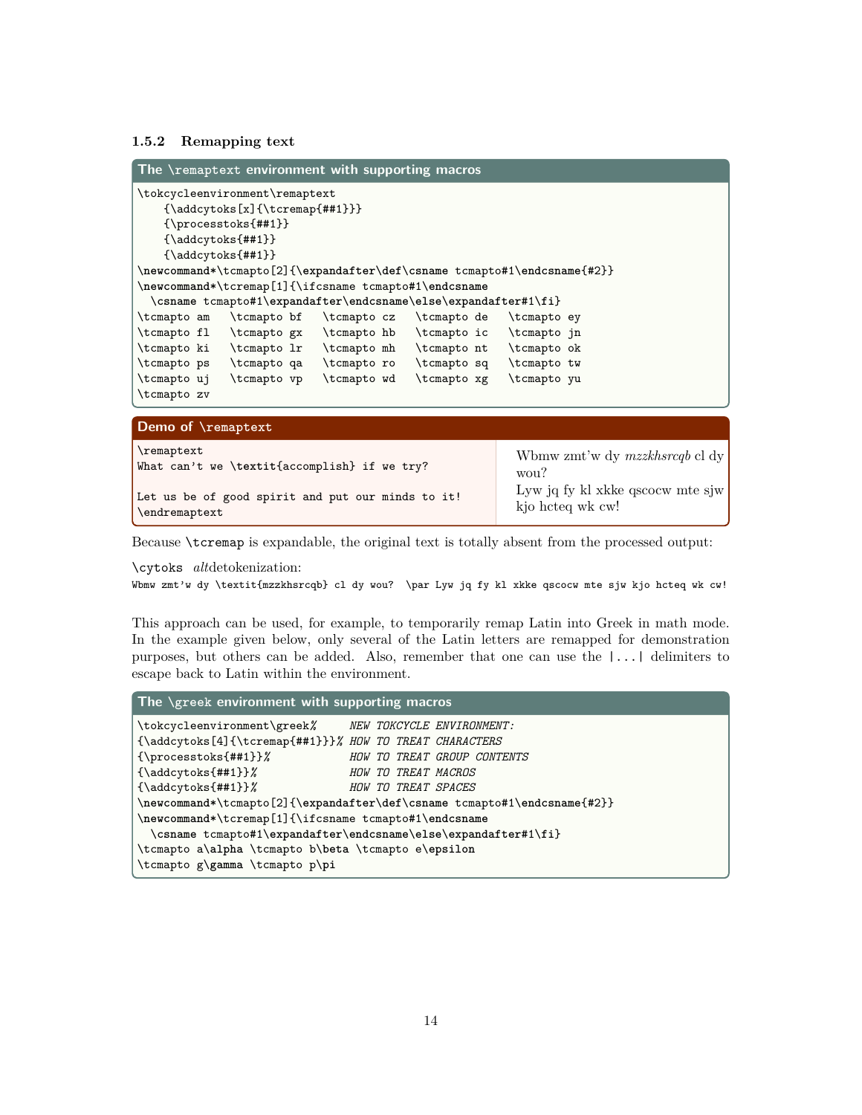#### **1.5.2 Remapping text**

| The $\gamma$ and $\gamma$ and $\gamma$ are environment with supporting macros                                                                                                                                                                                                                                                                                                           |                                                                                        |
|-----------------------------------------------------------------------------------------------------------------------------------------------------------------------------------------------------------------------------------------------------------------------------------------------------------------------------------------------------------------------------------------|----------------------------------------------------------------------------------------|
| \tokcycleenvironment\remaptext<br>${\addcytoks[x]}({\text{tt#1}})$<br>${\preccurlyeq}$<br>${\addcytoks{#1}}$<br>${\addcytoks{##1}}$<br>\newcommand*\tcmapto[2]{\expandafter\def\csname tcmapto#1\endcsname{#2}}<br>\newcommand*\tcremap[1]{\ifcsname tcmapto#1\endcsname<br>\csname tcmapto#1\expandafter\endcsname\else\expandafter#1\fi}<br>\tcmapto am<br>\tcmapto bf<br>\tcmapto cz | \tcmapto de<br>\tcmapto ey                                                             |
| \tcmapto fl \tcmapto gx \tcmapto hb \tcmapto ic<br>\tcmapto ki \tcmapto 1r \tcmapto mh \tcmapto nt<br>\tcmapto ps<br>\tcmapto qa<br>\tcmapto ro<br>\tcmapto wd<br>\tcmapto uj<br>\tcmapto vp<br>\tcmapto zv                                                                                                                                                                             | \tcmapto in<br>\tcmapto ok<br>\tcmapto sq<br>\tcmapto tw<br>\tcmapto xg<br>\tcmapto yu |
| Demo of \remaptext                                                                                                                                                                                                                                                                                                                                                                      |                                                                                        |
| \remaptext                                                                                                                                                                                                                                                                                                                                                                              | $\cdots$ $\cdots$<br><b>TT71</b>                                                       |

| $\Gamma$<br>What can't we \textit{accomplish} if we try?                    | Wbmw zmt'w dy mzzkhsrcqb cl dy<br>$\frac{1}{2}$      |
|-----------------------------------------------------------------------------|------------------------------------------------------|
| Let us be of good spirit and put our minds to it!<br>$\lvert$ \endremaptext | Lyw jq fy kl xkke qscocw mte sjw<br>kjo hcteg wk cw! |

Because \tcremap is expandable, the original text is totally absent from the processed output:

\cytoks *alt*detokenization:

Wbmw zmt'w dy \textit{mzzkhsrcqb} cl dy wou? \par Lyw jq fy kl xkke qscocw mte sjw kjo hcteq wk cw!

This approach can be used, for example, to temporarily remap Latin into Greek in math mode. In the example given below, only several of the Latin letters are remapped for demonstration purposes, but others can be added. Also, remember that one can use the |...| delimiters to escape back to Latin within the environment.

| The $\zeta$ reek environment with supporting macros                      |  |  |
|--------------------------------------------------------------------------|--|--|
| \tokcycleenvironment\greek%<br>NEW TOKCYCLE ENVIRONMENT:                 |  |  |
| {\addcytoks[4]{\tcremap{##1}}}% HOW TO TREAT CHARACTERS                  |  |  |
| ${\preccurlyeq}$ {\processtoks{##1}}<br>HOW TO TREAT GROUP CONTENTS      |  |  |
| $\{\addcytoks{##1}\}\$<br>HOW TO TREAT MACROS                            |  |  |
| ${\adcytoks{#1}}$<br>HOW TO TREAT SPACES                                 |  |  |
| \newcommand*\tcmapto[2]{\expandafter\def\csname tcmapto#1\endcsname{#2}} |  |  |
| \newcommand*\tcremap[1]{\ifcsname tcmapto#1\endcsname                    |  |  |
| \csname tcmapto#1\expandafter\endcsname\else\expandafter#1\fi}           |  |  |
| \tcmapto a\alpha \tcmapto b\beta \tcmapto e\epsilon                      |  |  |
| \tcmapto g\gamma \tcmapto p\pi                                           |  |  |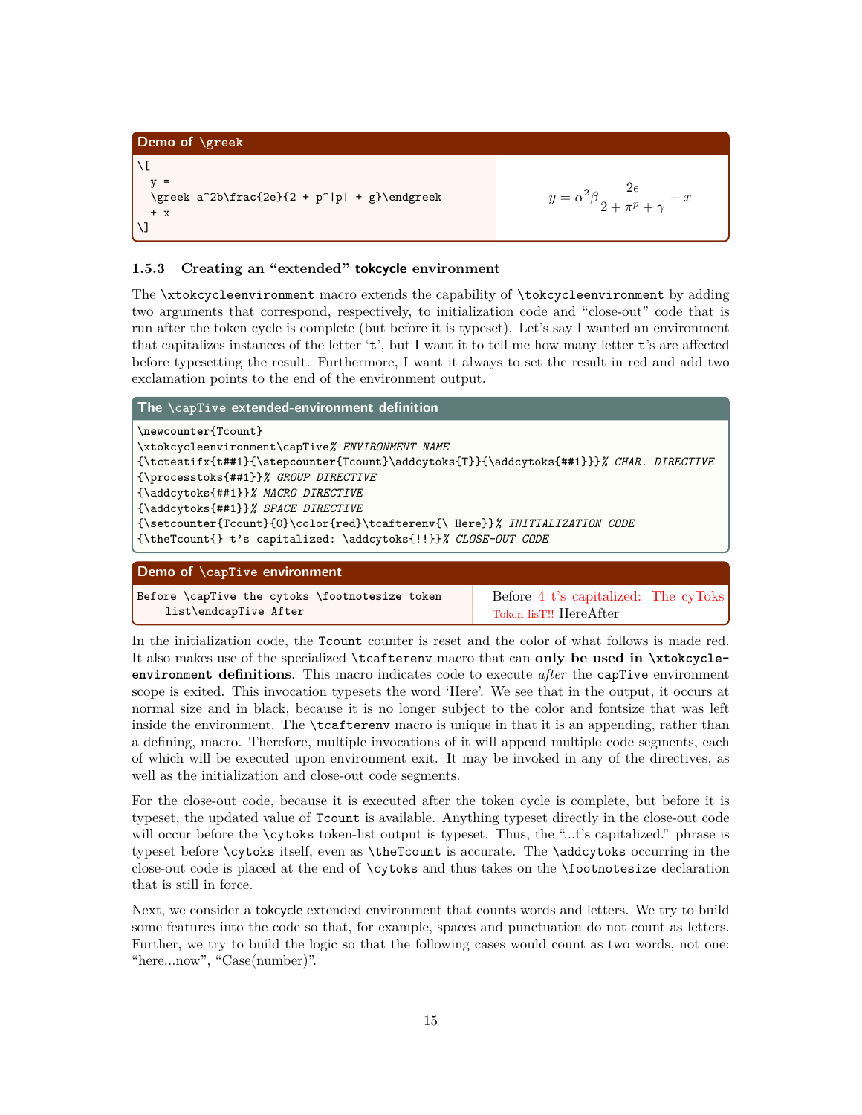```
Demo of \greek
\sqrt{2}V =\greek a^2b\frac{2e}{2 + p^|p| + g}\endgreek
   + x
\]
                                                                                                   y = \alpha^2 \beta \frac{2\epsilon}{\beta + \epsilon}\frac{2c}{2+\pi^p+\gamma}+x
```
#### **1.5.3 Creating an "extended" tokcycle environment**

The \xtokcycleenvironment macro extends the capability of \tokcycleenvironment by adding two arguments that correspond, respectively, to initialization code and "close-out" code that is run after the token cycle is complete (but before it is typeset). Let's say I wanted an environment that capitalizes instances of the letter 't', but I want it to tell me how many letter t's are affected before typesetting the result. Furthermore, I want it always to set the result in red and add two exclamation points to the end of the environment output.

| The $\setminus$ capTive extended-environment definition                                 |  |  |
|-----------------------------------------------------------------------------------------|--|--|
| \newcounter{Tcount}                                                                     |  |  |
| \xtokcycleenvironment\capTive% ENVIRONMENT NAME                                         |  |  |
| {\tctestifx{t##1}{\stepcounter{Tcount}\addcytoks{T}}{\addcytoks{##1}}}% CHAR. DIRECTIVE |  |  |
| {\processtoks{##1}}% GROUP DIRECTIVE                                                    |  |  |
| {\addcytoks{##1}}% MACRO DIRECTIVE                                                      |  |  |
| {\addcytoks{##1}}% SPACE DIRECTIVE                                                      |  |  |
| {\setcounter{Tcount}{0}\color{red}\tcafterenv{\ Here}}% INITIALIZATION CODE             |  |  |
| {\theTcount{} t's capitalized: \addcytoks{!!}}% CLOSE-OUT CODE                          |  |  |
|                                                                                         |  |  |
| Demo of \capTive environment                                                            |  |  |
|                                                                                         |  |  |

Before \capTive the cytoks \**footnotesize** token list\endcapTive After Before 4 t's capitalized: The cyToks Token lisT!! HereAfter

In the initialization code, the Tcount counter is reset and the color of what follows is made red. It also makes use of the specialized \tcafterenv macro that can **only be used in \xtokcycleenvironment definitions**. This macro indicates code to execute *after* the capTive environment scope is exited. This invocation typesets the word 'Here'. We see that in the output, it occurs at normal size and in black, because it is no longer subject to the color and fontsize that was left inside the environment. The **\tcafterenv** macro is unique in that it is an appending, rather than a defining, macro. Therefore, multiple invocations of it will append multiple code segments, each of which will be executed upon environment exit. It may be invoked in any of the directives, as well as the initialization and close-out code segments.

For the close-out code, because it is executed after the token cycle is complete, but before it is typeset, the updated value of Tcount is available. Anything typeset directly in the close-out code will occur before the **\cytoks** token-list output is typeset. Thus, the "...t's capitalized." phrase is typeset before \cytoks itself, even as \theTcount is accurate. The \addcytoks occurring in the close-out code is placed at the end of \cytoks and thus takes on the \footnotesize declaration that is still in force.

Next, we consider a tokcycle extended environment that counts words and letters. We try to build some features into the code so that, for example, spaces and punctuation do not count as letters. Further, we try to build the logic so that the following cases would count as two words, not one: "here...now", "Case(number)".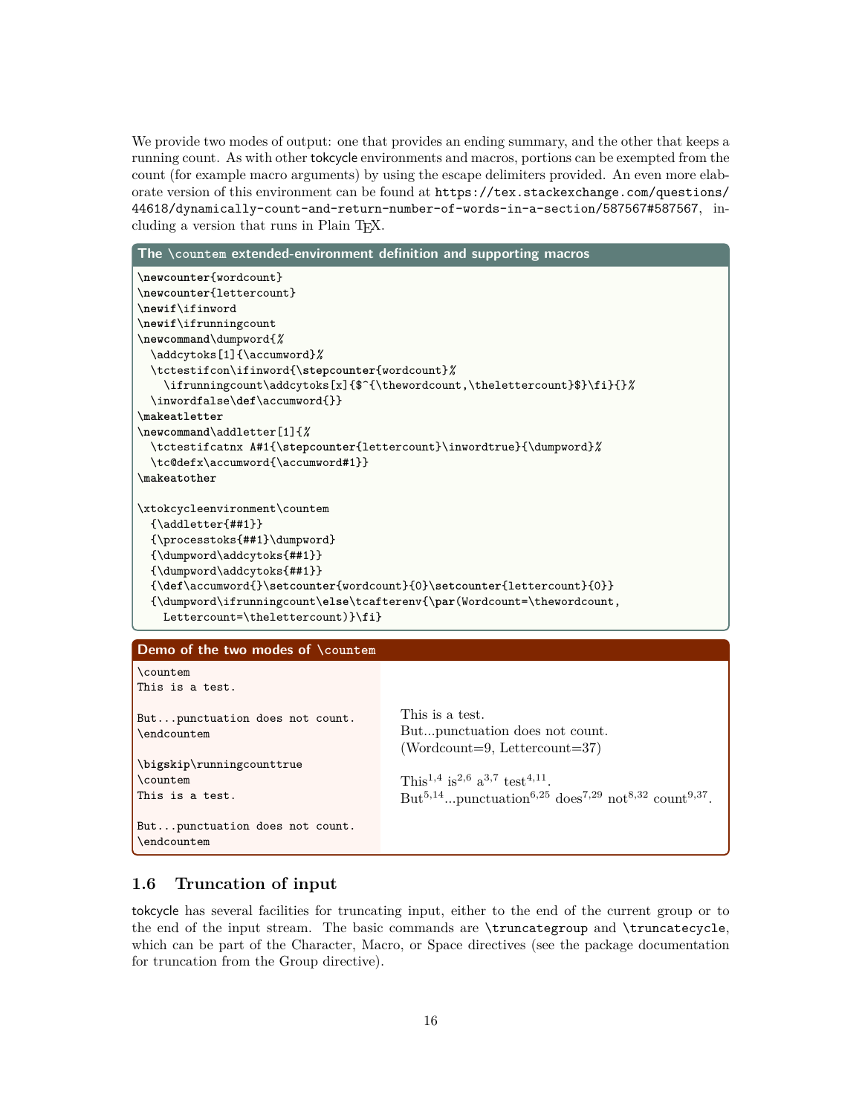We provide two modes of output: one that provides an ending summary, and the other that keeps a running count. As with other tokcycle environments and macros, portions can be exempted from the count (for example macro arguments) by using the escape delimiters provided. An even more elaborate version of this environment can be found at  $https://tex.stackexchange.com/questions/$ 44618/dynamically-count-and-return-number-of-words-in-a-section/587567#587567, including a version that runs in Plain TEX.

| The \countem extended-environment definition and supporting macros                                           |                                                                           |  |  |
|--------------------------------------------------------------------------------------------------------------|---------------------------------------------------------------------------|--|--|
| \newcounter{wordcount}                                                                                       |                                                                           |  |  |
| \newcounter{lettercount}                                                                                     |                                                                           |  |  |
| \newif\ifinword                                                                                              |                                                                           |  |  |
| \newif\ifrunningcount                                                                                        |                                                                           |  |  |
| \newcommand\dumpword{%                                                                                       |                                                                           |  |  |
| \addcytoks[1]{\accumword}%                                                                                   |                                                                           |  |  |
| \tctestifcon\ifinword{\stepcounter{wordcount}%                                                               |                                                                           |  |  |
|                                                                                                              | \ifrunningcount\addcytoks[x]{\$^{\thewordcount,\thelettercount}\$}\fi}{}% |  |  |
| \inwordfalse\def\accumword{}}                                                                                |                                                                           |  |  |
| \makeatletter                                                                                                |                                                                           |  |  |
| \newcommand\addletter[1]{%                                                                                   |                                                                           |  |  |
| \tctestifcatnx A#1{\stepcounter{lettercount}\inwordtrue}{\dumpword}%                                         |                                                                           |  |  |
| \tc@defx\accumword{\accumword#1}}                                                                            |                                                                           |  |  |
| \makeatother                                                                                                 |                                                                           |  |  |
|                                                                                                              |                                                                           |  |  |
| \xtokcycleenvironment\countem                                                                                |                                                                           |  |  |
| ${\addletter{##1}}$                                                                                          |                                                                           |  |  |
| {\processtoks{##1}\dumpword}                                                                                 |                                                                           |  |  |
| {\dumpword\addcytoks{##1}}                                                                                   |                                                                           |  |  |
| {\dumpword\addcytoks{##1}}<br>$\{\def\accumword{\}\setminus\set{wordcounter\{vordcount}\}\setminus\set{0}\}$ |                                                                           |  |  |
| {\dumpword\ifrunningcount\else\tcafterenv{\par(Wordcount=\thewordcount,                                      |                                                                           |  |  |
| Lettercount=\thelettercount)}\fi}                                                                            |                                                                           |  |  |
|                                                                                                              |                                                                           |  |  |
| Demo of the two modes of \countem                                                                            |                                                                           |  |  |
| \countem                                                                                                     |                                                                           |  |  |
| This is a test.                                                                                              |                                                                           |  |  |
|                                                                                                              |                                                                           |  |  |
| Butpunctuation does not count.                                                                               | This is a test.                                                           |  |  |
| \endcountem                                                                                                  | Butpunctuation does not count.                                            |  |  |
|                                                                                                              | $(Wordcount=9, Lettercount=37)$                                           |  |  |

\**bigskip**\runningcounttrue \countem This is a test.

But...punctuation does not count. \endcountem

This<sup>1,4</sup> is<sup>2,6</sup> a<sup>3,7</sup> test<sup>4,11</sup>.  $But^{5,14}...$ punctuation<sup>6,25</sup> does<sup>7,29</sup> not<sup>8,32</sup> count<sup>9,37</sup>.

# **1.6 Truncation of input**

tokcycle has several facilities for truncating input, either to the end of the current group or to the end of the input stream. The basic commands are \truncategroup and \truncatecycle, which can be part of the Character, Macro, or Space directives (see the package documentation for truncation from the Group directive).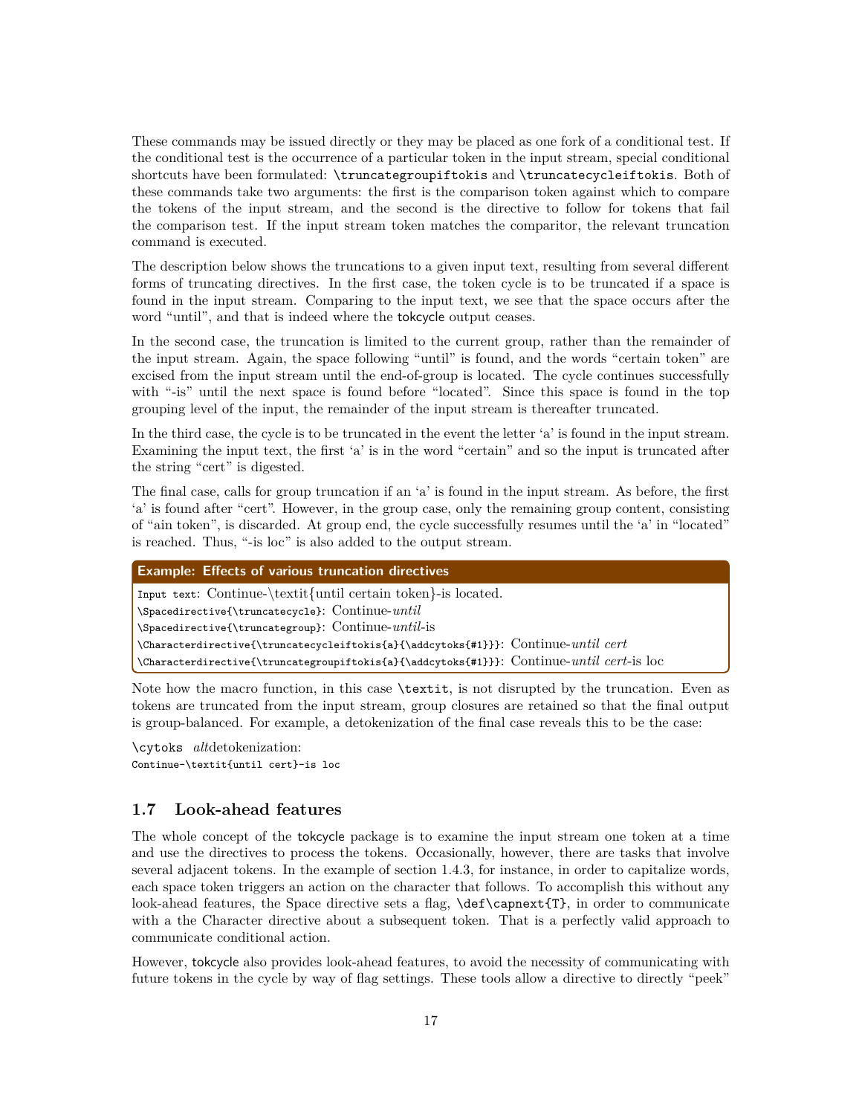These commands may be issued directly or they may be placed as one fork of a conditional test. If the conditional test is the occurrence of a particular token in the input stream, special conditional shortcuts have been formulated: \truncategroupiftokis and \truncatecycleiftokis. Both of these commands take two arguments: the first is the comparison token against which to compare the tokens of the input stream, and the second is the directive to follow for tokens that fail the comparison test. If the input stream token matches the comparitor, the relevant truncation command is executed.

The description below shows the truncations to a given input text, resulting from several different forms of truncating directives. In the first case, the token cycle is to be truncated if a space is found in the input stream. Comparing to the input text, we see that the space occurs after the word "until", and that is indeed where the tokcycle output ceases.

In the second case, the truncation is limited to the current group, rather than the remainder of the input stream. Again, the space following "until" is found, and the words "certain token" are excised from the input stream until the end-of-group is located. The cycle continues successfully with "-is" until the next space is found before "located". Since this space is found in the top grouping level of the input, the remainder of the input stream is thereafter truncated.

In the third case, the cycle is to be truncated in the event the letter 'a' is found in the input stream. Examining the input text, the first 'a' is in the word "certain" and so the input is truncated after the string "cert" is digested.

The final case, calls for group truncation if an 'a' is found in the input stream. As before, the first 'a' is found after "cert". However, in the group case, only the remaining group content, consisting of "ain token", is discarded. At group end, the cycle successfully resumes until the 'a' in "located" is reached. Thus, "-is loc" is also added to the output stream.

| <b>Example: Effects of various truncation directives</b>                                  |  |
|-------------------------------------------------------------------------------------------|--|
| Input text: Continue-\textit{until certain token}-is located.                             |  |
| $\Space$ Spacedirective{\truncatecycle}: Continue-until                                   |  |
| $\Space$ Theoretive{\truncategroup}: Continue-until-is                                    |  |
| \Characterdirective{\truncatecycleiftokis{a}{\addcytoks{#1}}}: Continue-until cert        |  |
| \Characterdirective{\truncategroupiftokis{a}{\addcytoks{#1}}}: Continue-until cert-is loc |  |

Note how the macro function, in this case \textit, is not disrupted by the truncation. Even as tokens are truncated from the input stream, group closures are retained so that the final output is group-balanced. For example, a detokenization of the final case reveals this to be the case:

\cytoks *alt*detokenization: Continue-\textit{until cert}-is loc

#### **1.7 Look-ahead features**

The whole concept of the tokcycle package is to examine the input stream one token at a time and use the directives to process the tokens. Occasionally, however, there are tasks that involve several adjacent tokens. In the example of section 1.4.3, for instance, in order to capitalize words, each space token triggers an action on the character that follows. To accomplish this without any look-ahead features, the Space directive sets a flag, \def\capnext{T}, in order to communicate with a the Character directive about a subsequent token. That is a perfectly valid approach to communicate conditional action.

However, tokcycle also provides look-ahead features, to avoid the necessity of communicating with future tokens in the cycle by way of flag settings. These tools allow a directive to directly "peek"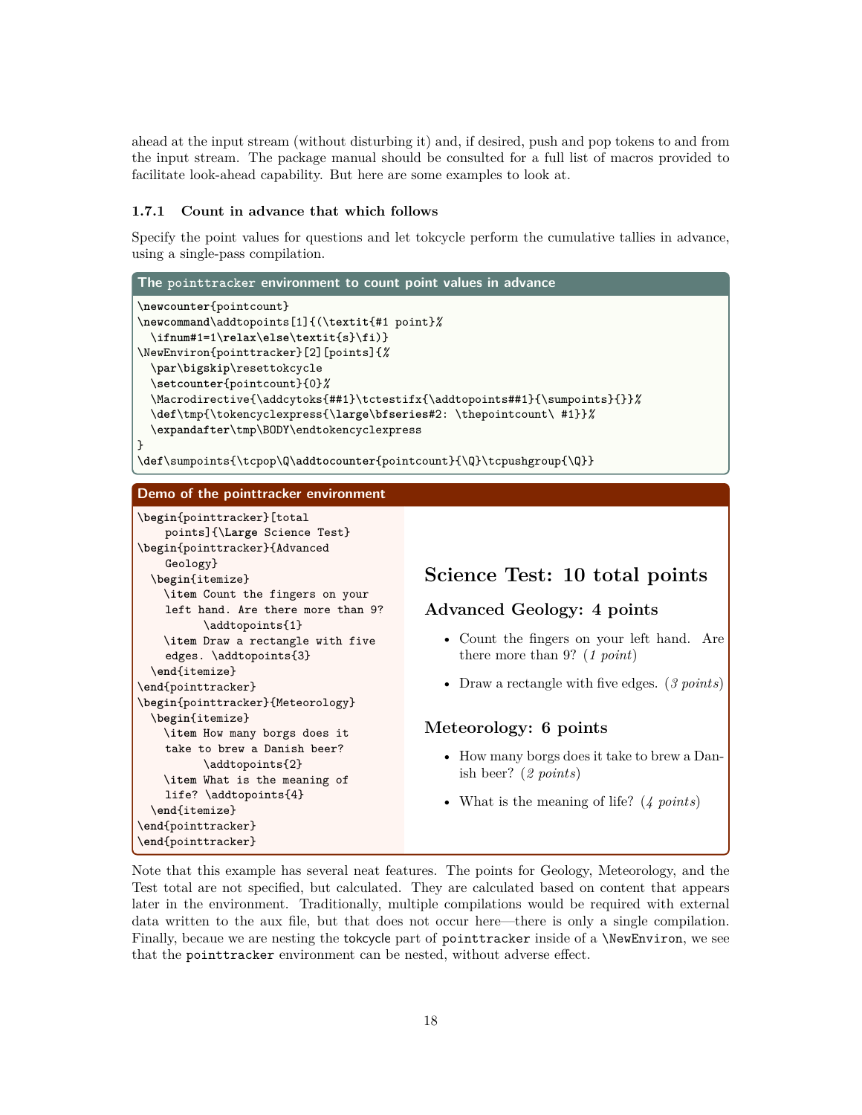ahead at the input stream (without disturbing it) and, if desired, push and pop tokens to and from the input stream. The package manual should be consulted for a full list of macros provided to facilitate look-ahead capability. But here are some examples to look at.

#### **1.7.1 Count in advance that which follows**

Specify the point values for questions and let tokcycle perform the cumulative tallies in advance, using a single-pass compilation.



Note that this example has several neat features. The points for Geology, Meteorology, and the Test total are not specified, but calculated. They are calculated based on content that appears later in the environment. Traditionally, multiple compilations would be required with external data written to the aux file, but that does not occur here—there is only a single compilation. Finally, becaue we are nesting the tokeycle part of point tracker inside of a *NewEnviron*, we see that the pointtracker environment can be nested, without adverse effect.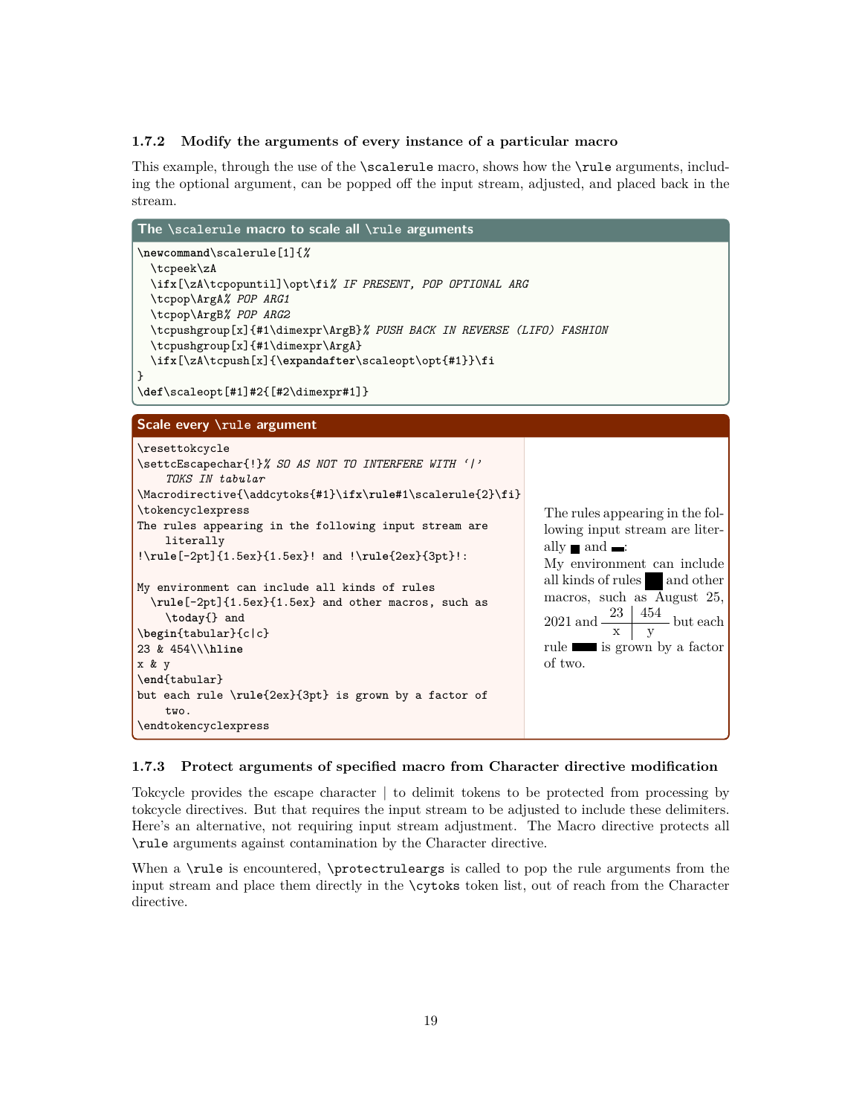#### **1.7.2 Modify the arguments of every instance of a particular macro**

This example, through the use of the **\scalerule** macro, shows how the **\rule** arguments, including the optional argument, can be popped off the input stream, adjusted, and placed back in the stream.

| The \scalerule macro to scale all \rule arguments                                                                                                                                                                                                                                                                                                                                                                                                                                                                                                                                                          |                                                                                                                                                                                                                                                                                                             |
|------------------------------------------------------------------------------------------------------------------------------------------------------------------------------------------------------------------------------------------------------------------------------------------------------------------------------------------------------------------------------------------------------------------------------------------------------------------------------------------------------------------------------------------------------------------------------------------------------------|-------------------------------------------------------------------------------------------------------------------------------------------------------------------------------------------------------------------------------------------------------------------------------------------------------------|
| \newcommand\scalerule[1]{%<br>\tcpeek\zA<br>\ifx[\zA\tcpopuntil]\opt\fi% IF PRESENT, POP OPTIONAL ARG<br>\tcpop\ArgA% POP ARG1<br>\tcpop\ArgB% POP ARG2<br>\tcpushgroup[x]{#1\dimexpr\ArgB}% PUSH BACK IN REVERSE (LIFO) FASHION<br>\tcpushgroup[x]{#1\dimexpr\ArgA}<br>\ifx[\zA\tcpush[x]{\expandafter\scaleopt\opt{#1}}\fi<br>}<br>\def\scaleopt[#1]#2{[#2\dimexpr#1]}                                                                                                                                                                                                                                   |                                                                                                                                                                                                                                                                                                             |
| Scale every \rule argument                                                                                                                                                                                                                                                                                                                                                                                                                                                                                                                                                                                 |                                                                                                                                                                                                                                                                                                             |
| \resettokcycle<br>\settcEscapechar{!}% SO AS NOT TO INTERFERE WITH ' '<br>TOKS IN tabular<br>\Macrodirective{\addcytoks{#1}\ifx\rule#1\scalerule{2}\fi}<br>\tokencyclexpress<br>The rules appearing in the following input stream are<br>literally<br>$!\rule[-2pt]{1.5ex}{1.5ex}! and !\rule{2ex}{3pt}!$<br>My environment can include all kinds of rules<br>\rule[-2pt]{1.5ex}{1.5ex} and other macros, such as<br>\today{} and<br>\begin{tabular}{c c}<br>23 & 454\\\hline<br>x & y<br>$\end{tabular}$<br>but each rule \rule{2ex}{3pt} is grown by a factor of<br>two.<br>$\cdot$ \endtokencyclexpress | The rules appearing in the fol-<br>lowing input stream are liter-<br>ally $\blacksquare$ and $\blacksquare$ :<br>My environment can include<br>all kinds of rules and other<br>macros, such as August 25,<br>2021 and $\frac{23}{x} \frac{454}{y}$ but each<br>rule similar is grown by a factor<br>of two. |

#### **1.7.3 Protect arguments of specified macro from Character directive modification**

Tokcycle provides the escape character | to delimit tokens to be protected from processing by tokcycle directives. But that requires the input stream to be adjusted to include these delimiters. Here's an alternative, not requiring input stream adjustment. The Macro directive protects all \rule arguments against contamination by the Character directive.

When a \rule is encountered, \protectruleargs is called to pop the rule arguments from the input stream and place them directly in the \cytoks token list, out of reach from the Character directive.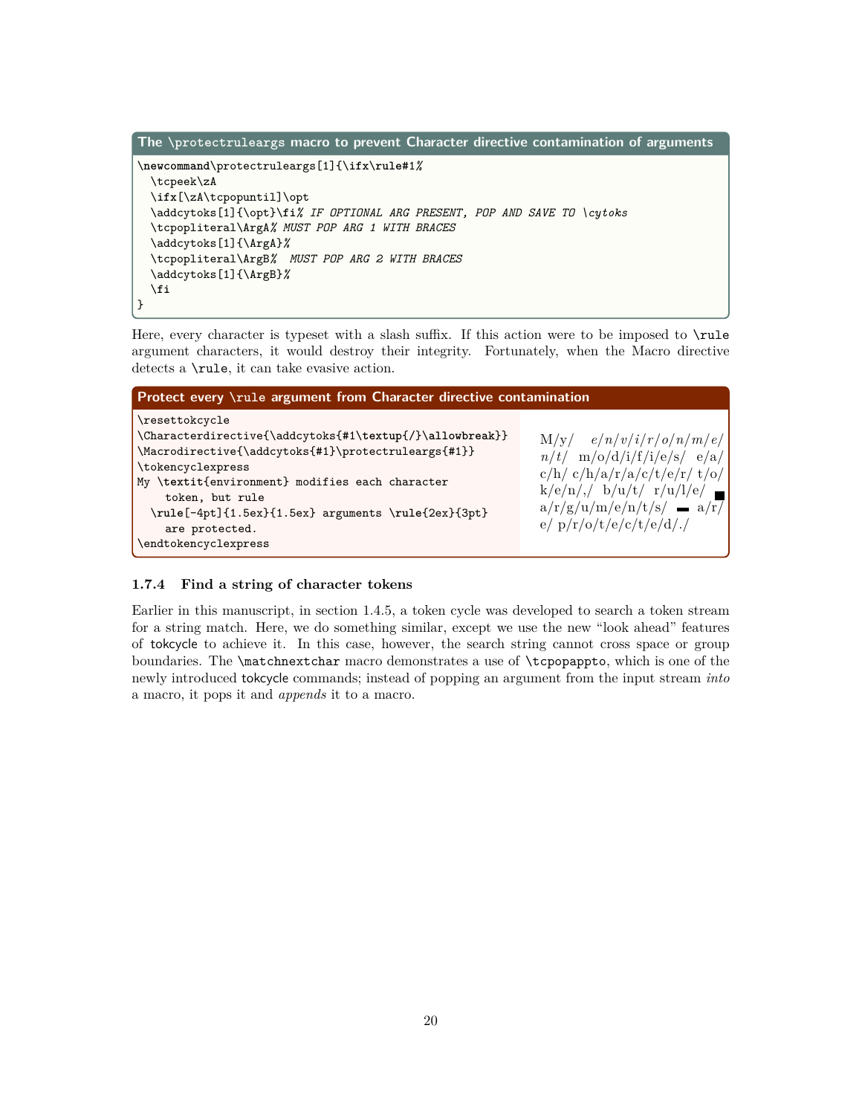```
The \protectruleargs macro to prevent Character directive contamination of arguments
\newcommand\protectruleargs[1]{\ifx\rule#1%
  \tcpeek\zA
  \ifx[\zA\tcpopuntil]\opt
  \addcytoks[1]{\opt}\fi% IF OPTIONAL ARG PRESENT, POP AND SAVE TO \cytoks
  \tcpopliteral\ArgA% MUST POP ARG 1 WITH BRACES
  \addcytoks[1]{\ArgA}%
  \tcpopliteral\ArgB% MUST POP ARG 2 WITH BRACES
  \addcytoks[1]{\ArgB}%
  \fi
}
```
Here, every character is typeset with a slash suffix. If this action were to be imposed to  $\text{rule}$ argument characters, it would destroy their integrity. Fortunately, when the Macro directive detects a \rule, it can take evasive action.

| Protect every \rule argument from Character directive contamination                                                                                                                                                                                                                                                           |                                                                                                                                                                                             |
|-------------------------------------------------------------------------------------------------------------------------------------------------------------------------------------------------------------------------------------------------------------------------------------------------------------------------------|---------------------------------------------------------------------------------------------------------------------------------------------------------------------------------------------|
| \resettokcycle<br>\Characterdirective{\addcytoks{#1\textup{/}\allowbreak}}<br>\Macrodirective{\addcytoks{#1}\protectruleargs{#1}}<br>\tokencyclexpress<br>My \textit{environment} modifies each character<br>token, but rule<br>\rule[-4pt]{1.5ex}{1.5ex} arguments \rule{2ex}{3pt}<br>are protected.<br>\endtokencyclexpress | $M/y/$ e/n/v/i/r/o/n/m/e/<br>$n/t$ m/o/d/i/f/i/e/s/ e/a/<br>c/h/ c/h/a/r/a/c/t/e/r/ t/o/<br>$k/e/n/$ , $b/u/t/$ r/u/l/e/<br>$a/r/g/u/m/e/n/t/s/$ a/r/<br>$e/\frac{p}{r}\/o/t/e/c/t/e/d/$ ./ |

#### **1.7.4 Find a string of character tokens**

Earlier in this manuscript, in section 1.4.5, a token cycle was developed to search a token stream for a string match. Here, we do something similar, except we use the new "look ahead" features of tokcycle to achieve it. In this case, however, the search string cannot cross space or group boundaries. The \matchnextchar macro demonstrates a use of \tcpopappto, which is one of the newly introduced tokcycle commands; instead of popping an argument from the input stream *into* a macro, it pops it and *appends* it to a macro.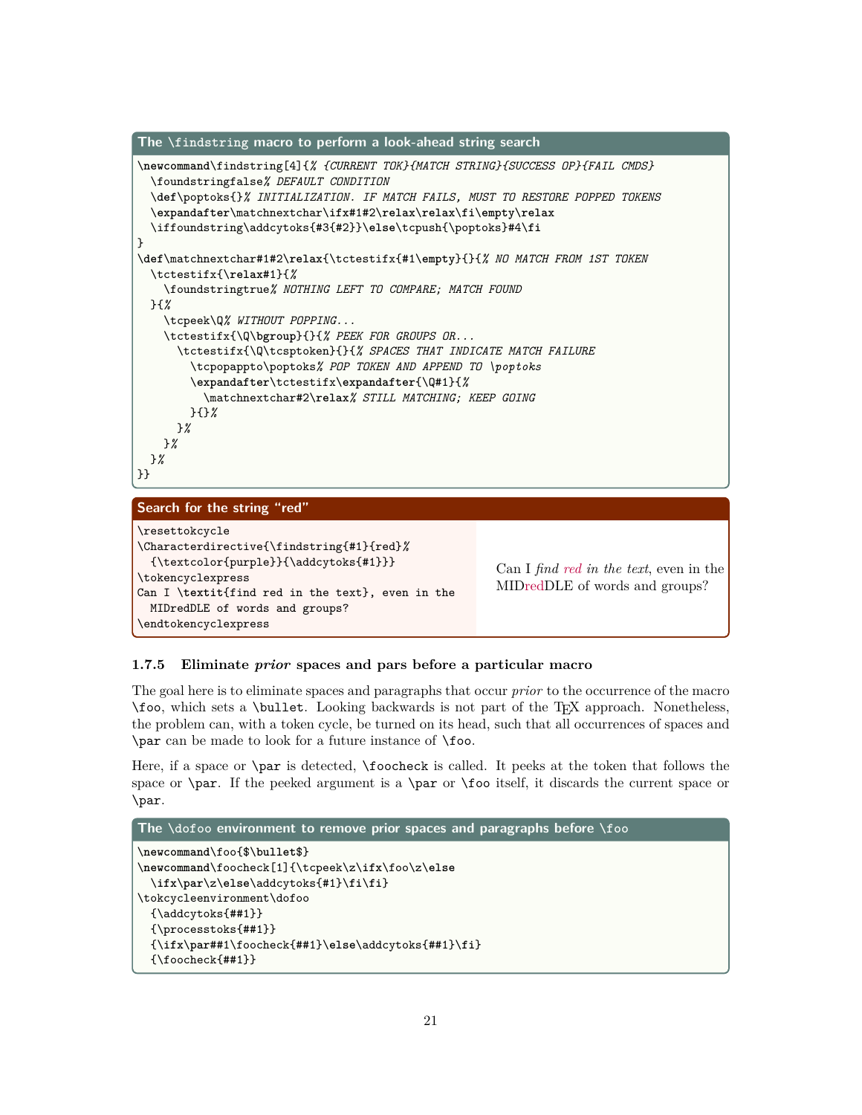

```
MIDredDLE of words and groups?
```
#### **1.7.5 Eliminate** *prior* **spaces and pars before a particular macro**

Can I \**textit**{find red in the text}, even in the

MIDredDLE of words and groups?

\endtokencyclexpress

The goal here is to eliminate spaces and paragraphs that occur *prior* to the occurrence of the macro \foo, which sets a \bullet. Looking backwards is not part of the TEX approach. Nonetheless, the problem can, with a token cycle, be turned on its head, such that all occurrences of spaces and \par can be made to look for a future instance of \foo.

Here, if a space or \par is detected, \foocheck is called. It peeks at the token that follows the space or \par. If the peeked argument is a \par or \foo itself, it discards the current space or \par.

```
The \dofoo environment to remove prior spaces and paragraphs before \foo
\newcommand\foo{$\bullet$}
\newcommand\foocheck[1]{\tcpeek\z\ifx\foo\z\else
 \ifx\par\z\else\addcytoks{#1}\fi\fi}
\tokcycleenvironment\dofoo
 {\addcytoks{##1}}
 {\processtoks{##1}}
 {\ifx\par##1\foocheck{##1}\else\addcytoks{##1}\fi}
 {\foocheck{##1}}
```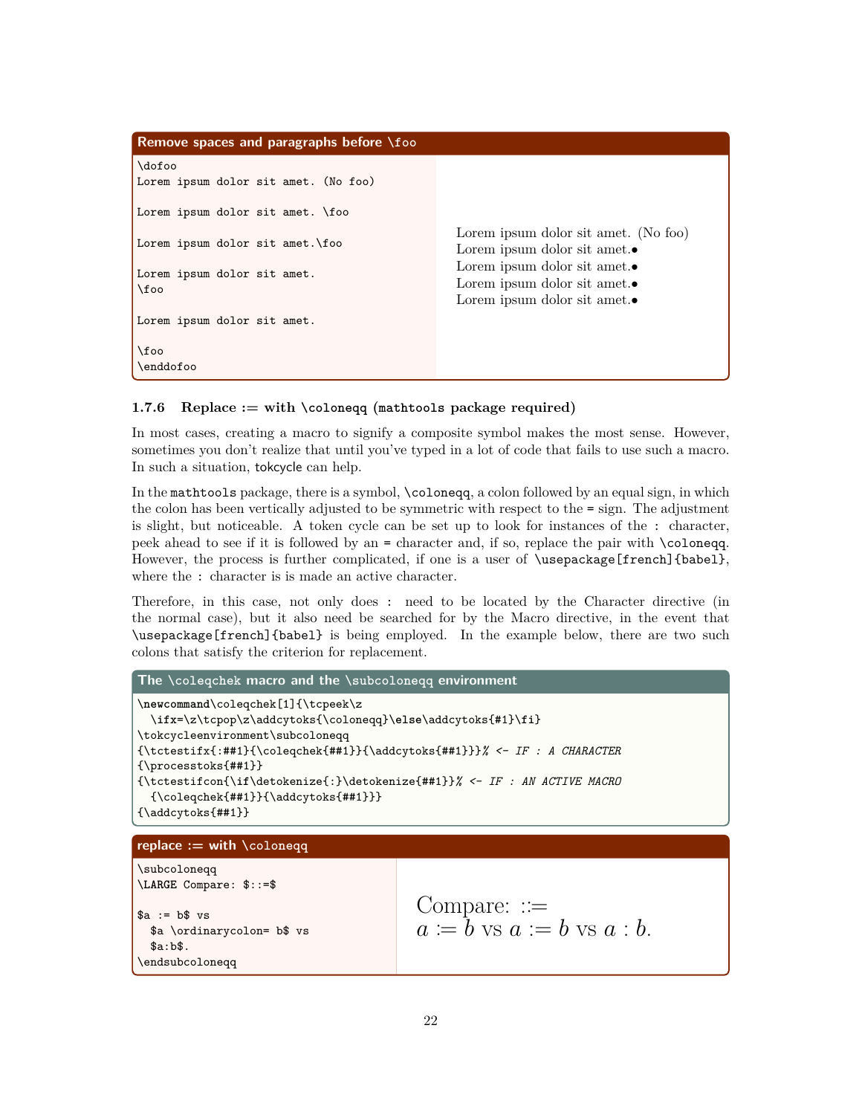```
Remove spaces and paragraphs before \foo
\dofoo
Lorem ipsum dolor sit amet. (No foo)
Lorem ipsum dolor sit amet. \foo
Lorem ipsum dolor sit amet.\foo
Lorem ipsum dolor sit amet.
\foo
Lorem ipsum dolor sit amet.
\foo
\enddofoo
                                                 Lorem ipsum dolor sit amet. (No foo)
                                                 Lorem ipsum dolor sit amet.•
                                                 Lorem ipsum dolor sit amet.•
                                                 Lorem ipsum dolor sit amet.•
                                                 Lorem ipsum dolor sit amet.•
```
#### **1.7.6 Replace := with \coloneqq (mathtools package required)**

In most cases, creating a macro to signify a composite symbol makes the most sense. However, sometimes you don't realize that until you've typed in a lot of code that fails to use such a macro. In such a situation, tokcycle can help.

In the mathtools package, there is a symbol, \coloneqq, a colon followed by an equal sign, in which the colon has been vertically adjusted to be symmetric with respect to the = sign. The adjustment is slight, but noticeable. A token cycle can be set up to look for instances of the : character, peek ahead to see if it is followed by an = character and, if so, replace the pair with \coloneqq. However, the process is further complicated, if one is a user of \usepackage[french]{babel}, where the : character is is made an active character.

Therefore, in this case, not only does : need to be located by the Character directive (in the normal case), but it also need be searched for by the Macro directive, in the event that \usepackage[french]{babel} is being employed. In the example below, there are two such colons that satisfy the criterion for replacement.

```
The \coleqchek macro and the \subcoloneqq environment
\newcommand\coleqchek[1]{\tcpeek\z
 \ifx=\z\tcpop\z\addcytoks{\coloneqq}\else\addcytoks{#1}\fi}
\tokcycleenvironment\subcoloneqq
{\tctestifx{:##1}{\coleqchek{##1}}{\addcytoks{##1}}}% <- IF : A CHARACTER
{\processtoks{##1}}
{\tctestifcon{\if\detokenize{:}\detokenize{##1}}% <- IF : AN ACTIVE MACRO
 {\coleqchek{##1}}{\addcytoks{##1}}}
{\addcytoks{##1}}
replace := with \coloneqq
\subcoloneqq
\LARGE Compare: $::=$
a := b vs
 $a \ordinarycolon= b$ vs
 $a:b$.
\endsubcoloneqq
                                         Compare: :=
                                         a \coloneqq b vs a := b vs a : b.
```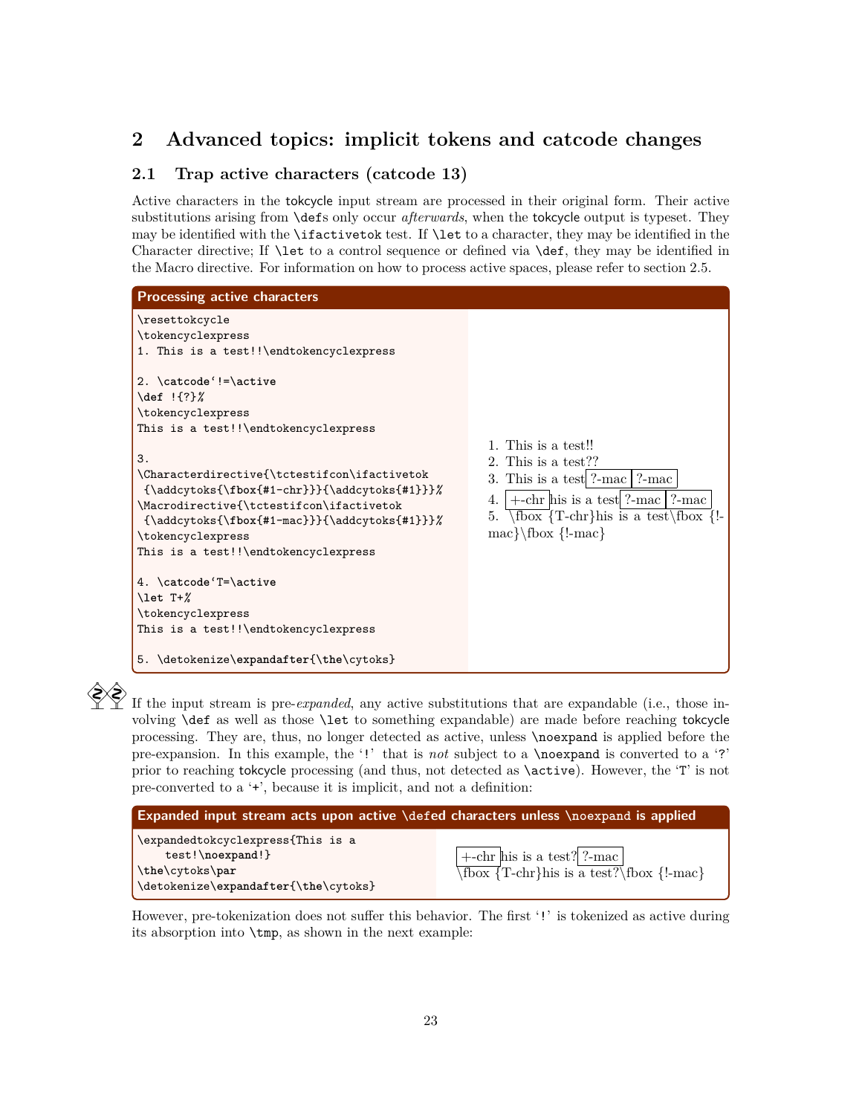# **2 Advanced topics: implicit tokens and catcode changes**

# **2.1 Trap active characters (catcode 13)**

Active characters in the tokcycle input stream are processed in their original form. Their active substitutions arising from \defs only occur *afterwards*, when the tokcycle output is typeset. They may be identified with the \ifactivetok test. If \let to a character, they may be identified in the Character directive; If \let to a control sequence or defined via \def, they may be identified in the Macro directive. For information on how to process active spaces, please refer to section 2.5.



If the input stream is pre-*expanded*, any active substitutions that are expandable (i.e., those involving \def as well as those \let to something expandable) are made before reaching tokcycle processing. They are, thus, no longer detected as active, unless \noexpand is applied before the pre-expansion. In this example, the '!' that is *not* subject to a \noexpand is converted to a '?' prior to reaching tokcycle processing (and thus, not detected as \active). However, the 'T' is not pre-converted to a '+', because it is implicit, and not a definition:

| Expanded input stream acts upon active \defed characters unless \noexpand is applied |                                                       |  |
|--------------------------------------------------------------------------------------|-------------------------------------------------------|--|
| \expandedtokcyclexpress{This is a<br>test!\noexpand!}                                | $+$ -chr his is a test? ?-mac                         |  |
| \the\cytoks\par<br>\detokenize\expandafter{\the\cytoks}                              | $\overline{\text{T-chr}}$ his is a test?\fbox {!-mac} |  |
|                                                                                      |                                                       |  |

However, pre-tokenization does not suffer this behavior. The first '!' is tokenized as active during its absorption into \tmp, as shown in the next example: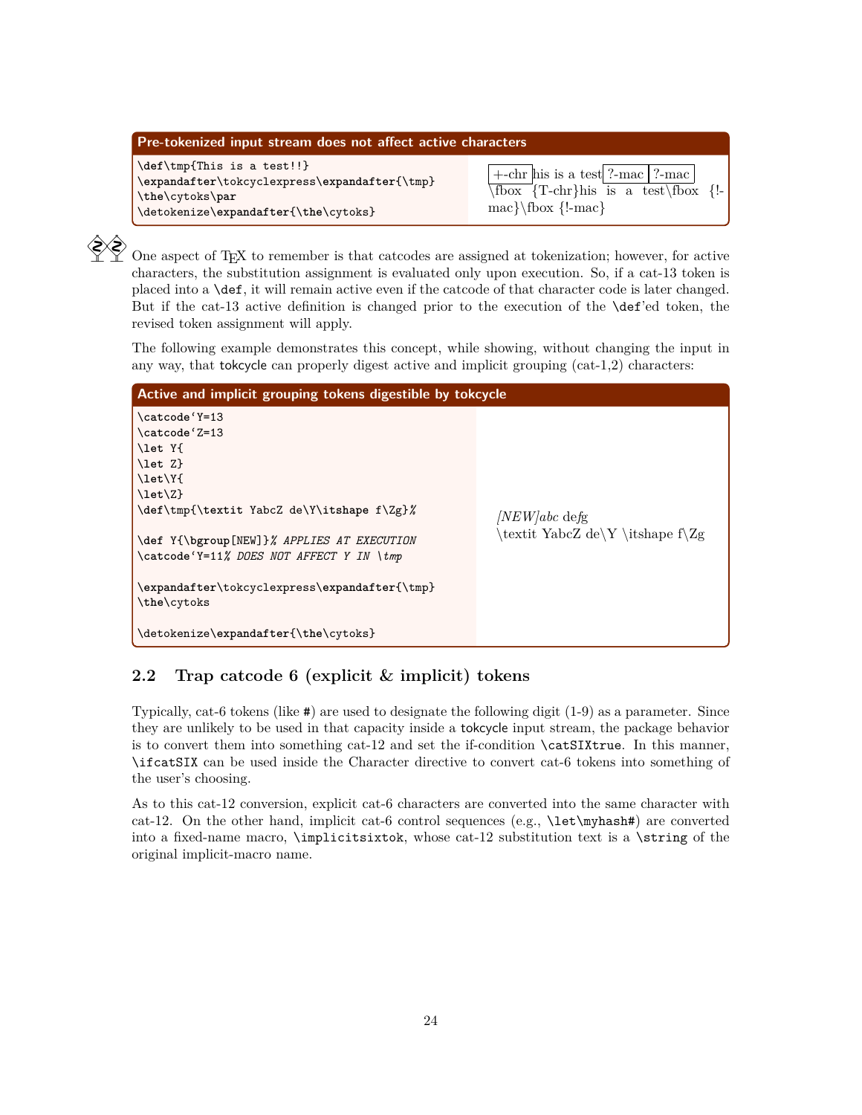| Pre-tokenized input stream does not affect active characters                                                                           |                                                                                                                                                    |
|----------------------------------------------------------------------------------------------------------------------------------------|----------------------------------------------------------------------------------------------------------------------------------------------------|
| \def\tmp{This is a test!!}<br>\expandafter\tokcyclexpress\expandafter{\tmp}<br>\the\cytoks\par<br>\detokenize\expandafter{\the\cytoks} | $\vert +\text{-chr}$ his is a test ?-mac   ?-mac  <br>$\overline{\text{Toox}}$ {T-chr}his is a test \fbox {!-<br>$\text{max}\cdot\{\text{l-mac}\}$ |

 $\bigotimes_{i=1}^{\infty}$  One aspect of TEX to remember is that catcodes are assigned at tokenization; however, for active characters, the substitution assignment is evaluated only upon execution. So, if a cat-13 token is placed into a \def, it will remain active even if the catcode of that character code is later changed. But if the cat-13 active definition is changed prior to the execution of the \def'ed token, the revised token assignment will apply.

The following example demonstrates this concept, while showing, without changing the input in any way, that tokcycle can properly digest active and implicit grouping (cat-1,2) characters:

| Active and implicit grouping tokens digestible by tokcycle                                                                                                                                                                                                                                                                   |                                                                  |
|------------------------------------------------------------------------------------------------------------------------------------------------------------------------------------------------------------------------------------------------------------------------------------------------------------------------------|------------------------------------------------------------------|
| \catcode'Y=13<br>\catcode'Z=13<br>\let Y{<br>$\let Z$<br>\let\Y{<br>$\let\Z$<br>\def\tmp{\textit YabcZ de\Y\itshape f\Zg}%<br>\def Y{\bgroup[NEW]}% APPLIES AT EXECUTION<br>\catcode'Y=11% DOES NOT AFFECT Y IN \tmp<br>\expandafter\tokcyclexpress\expandafter{\tmp}<br>\the\cytoks<br>\detokenize\expandafter{\the\cytoks} | $NEW/abc$ defg<br>$\text{textit YabcZ de}Y \t ;\text{shape f}Zg$ |

# **2.2 Trap catcode 6 (explicit & implicit) tokens**

Typically, cat-6 tokens (like #) are used to designate the following digit (1-9) as a parameter. Since they are unlikely to be used in that capacity inside a tokcycle input stream, the package behavior is to convert them into something cat-12 and set the if-condition \catSIXtrue. In this manner, \ifcatSIX can be used inside the Character directive to convert cat-6 tokens into something of the user's choosing.

As to this cat-12 conversion, explicit cat-6 characters are converted into the same character with cat-12. On the other hand, implicit cat-6 control sequences (e.g., \let\myhash#) are converted into a fixed-name macro,  $\imath \in \mathbb{Z}$ , whose cat-12 substitution text is a  $\strut \iint_{\mathbb{Z}}$  of the original implicit-macro name.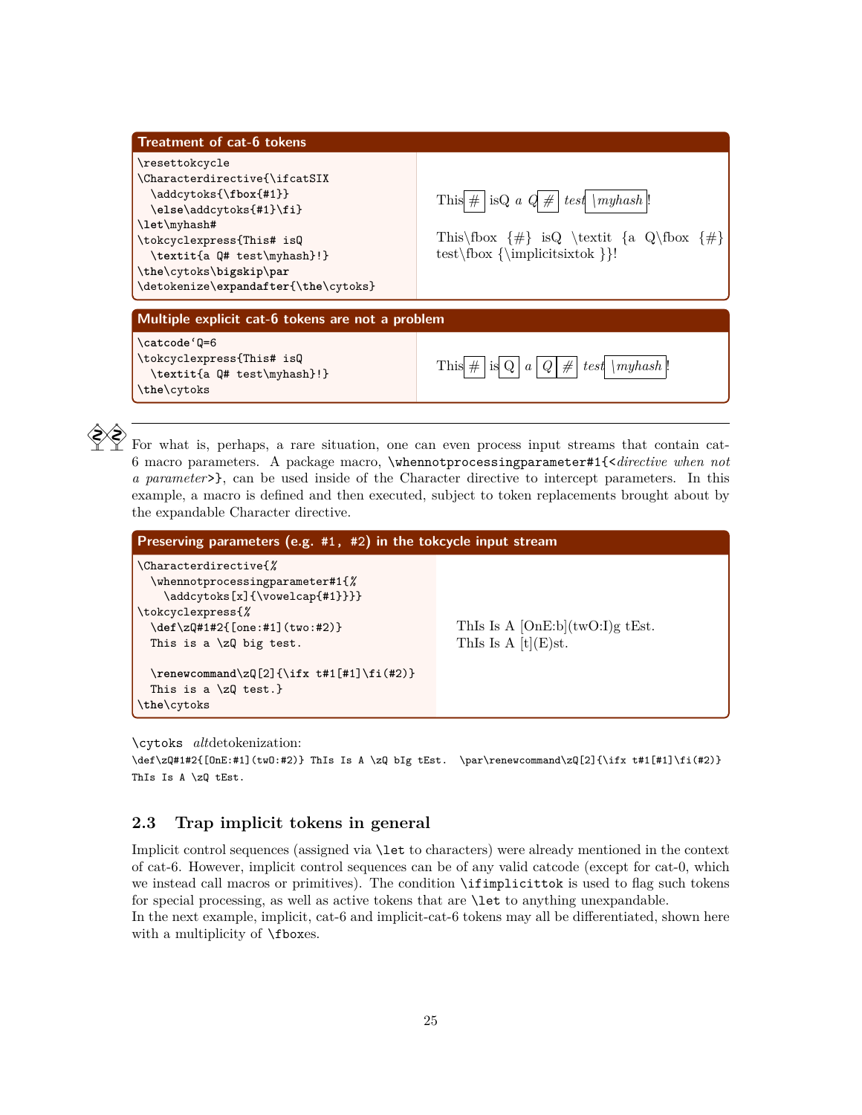| <b>Treatment of cat-6 tokens</b>                                                                                                                                                                                                                   |                                                                                                                                                    |
|----------------------------------------------------------------------------------------------------------------------------------------------------------------------------------------------------------------------------------------------------|----------------------------------------------------------------------------------------------------------------------------------------------------|
| \resettokcycle<br>\Characterdirective{\ifcatSIX<br>\addcytoks{\fbox{#1}}<br>\else\addcytoks{#1}\fi}<br>\let\myhash#<br>\tokcyclexpress{This# isQ<br>\textit{a Q# test\myhash}!}<br>\the\cytoks\bigskip\par<br>\detokenize\expandafter{\the\cytoks} | This $\# \mid$ is Q a $Q \# \mid test \mid myhash \mid !$<br>This $\{\# \}$ is Q $\text{t} \{a \ Q \}$ $\{\# \}$<br>test\fbox {\implicitsixtok }}! |
| Multiple explicit cat-6 tokens are not a problem                                                                                                                                                                                                   |                                                                                                                                                    |
| \catcode 'Q=6<br>\tokcyclexpress{This# isQ<br>\textit{a Q# test\myhash}!}<br>\the\cytoks                                                                                                                                                           | This $#$<br>#<br>test \myhash\!<br>is Q<br>$\boldsymbol{a}$                                                                                        |

 $\bigotimes_{i=1}^{\infty}$  For what is, perhaps, a rare situation, one can even process input streams that contain cat-6 macro parameters. A package macro, \whennotprocessingparameter#1{<*directive when not a parameter*>}, can be used inside of the Character directive to intercept parameters. In this example, a macro is defined and then executed, subject to token replacements brought about by the expandable Character directive.

| Preserving parameters (e.g. $#1, *2$ ) in the tokcycle input stream                                                                                                                         |                                                             |
|---------------------------------------------------------------------------------------------------------------------------------------------------------------------------------------------|-------------------------------------------------------------|
| \Characterdirective{%<br>$\verb \whennotprocessingparameter#1{{\%}}$<br>\addcytoks[x]{\vowelcap{#1}}}}<br>\tokcyclexpress{%<br>\def\zQ#1#2{[one:#1](two:#2)}<br>This is a $\zeta$ big test. | ThIs Is A $[OnE:b](twO:I)g$ tEst.<br>This Is A $[t](E)$ st. |
| \renewcommand\zQ[2]{\ifx t#1[#1]\fi(#2)}<br>This is a $\zeta$ test.}<br>\the\cytoks                                                                                                         |                                                             |

\cytoks *alt*detokenization:

 $\def\Z\left\{[0nE:H]\left(tw0:H2\right) \quad \textrm{if $H$ is a $\lambda$ $Z$ bits. }\parbox{1.442{1311}$ ThIs Is A \zQ tEst.

### **2.3 Trap implicit tokens in general**

Implicit control sequences (assigned via \let to characters) were already mentioned in the context of cat-6. However, implicit control sequences can be of any valid catcode (except for cat-0, which we instead call macros or primitives). The condition \ifimplicittok is used to flag such tokens for special processing, as well as active tokens that are \let to anything unexpandable.

In the next example, implicit, cat-6 and implicit-cat-6 tokens may all be differentiated, shown here with a multiplicity of **\fboxes**.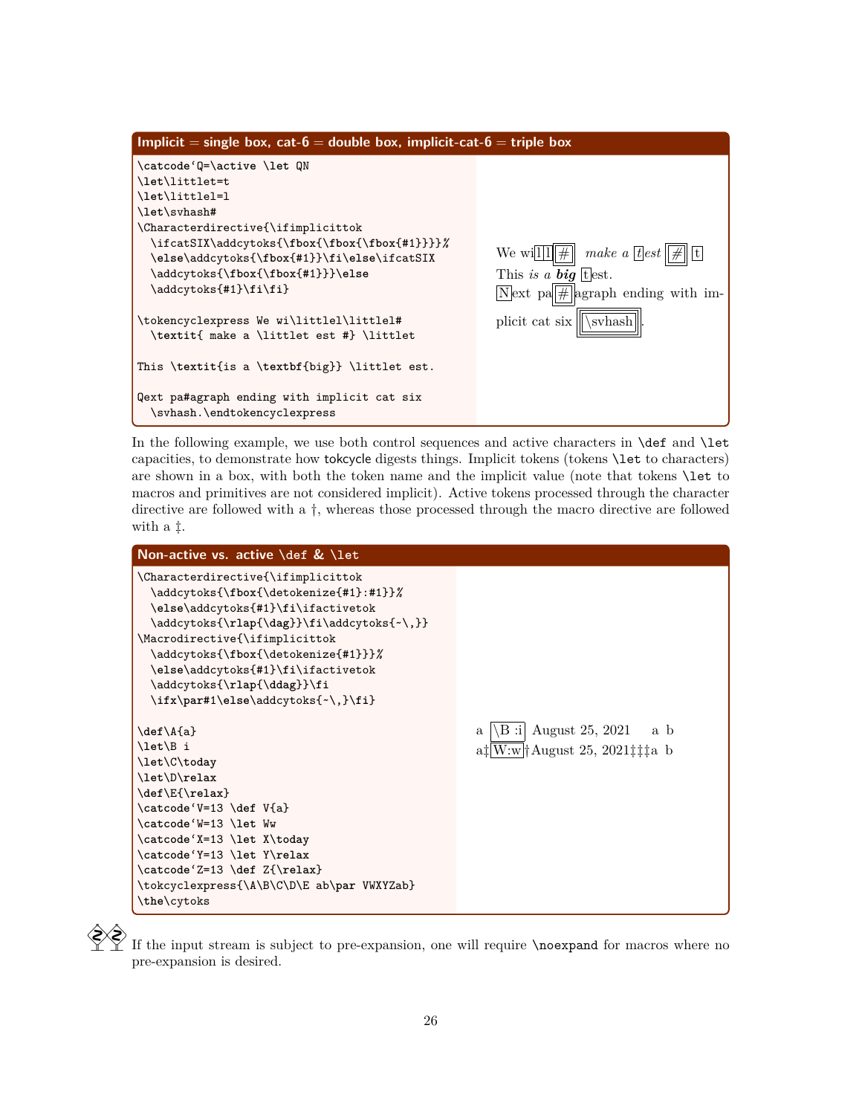

In the following example, we use both control sequences and active characters in **\def** and **\let** capacities, to demonstrate how tokcycle digests things. Implicit tokens (tokens \let to characters) are shown in a box, with both the token name and the implicit value (note that tokens \let to macros and primitives are not considered implicit). Active tokens processed through the character directive are followed with a †, whereas those processed through the macro directive are followed with a ‡.



 If the input stream is subject to pre-expansion, one will require \noexpand for macros where no pre-expansion is desired.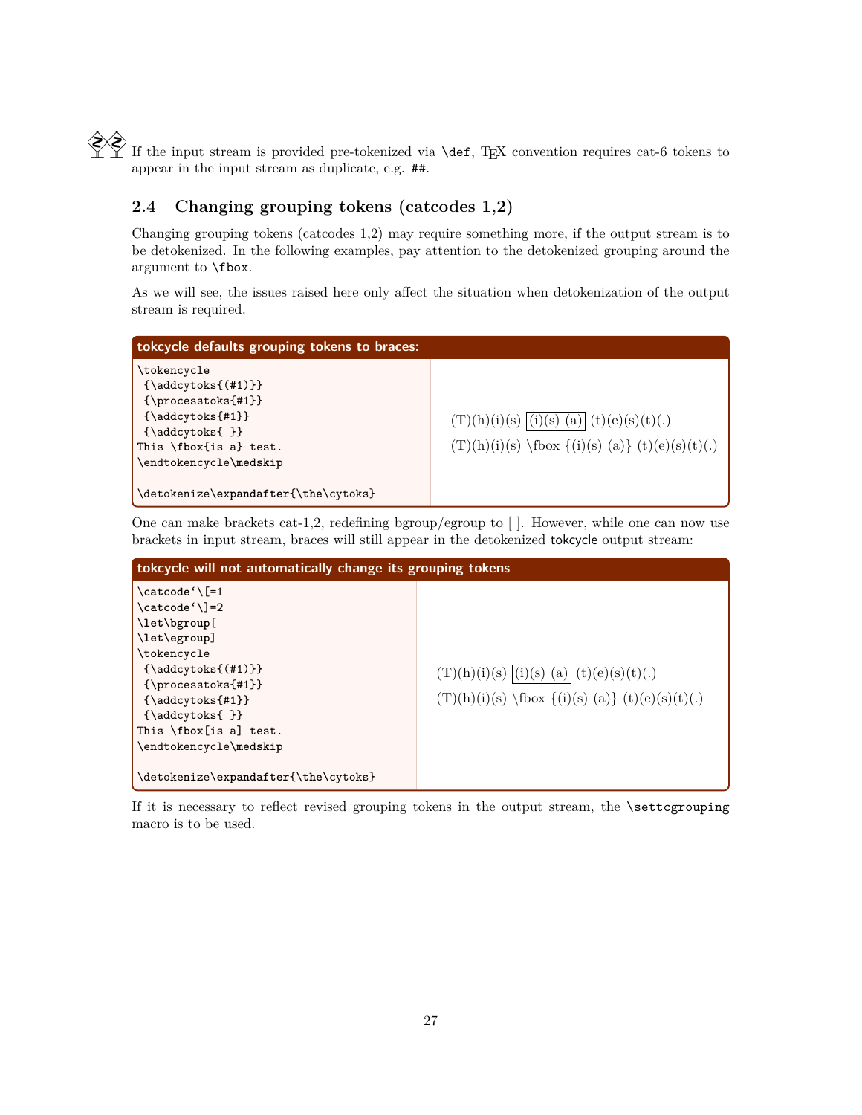$\left\{\bigvee_{i=1}^{\infty} f_i\right\}$  If the input stream is provided pre-tokenized via **\def**, T<sub>E</sub>X convention requires cat-6 tokens to appear in the input stream as duplicate, e.g. ##.

# **2.4 Changing grouping tokens (catcodes 1,2)**

Changing grouping tokens (catcodes 1,2) may require something more, if the output stream is to be detokenized. In the following examples, pay attention to the detokenized grouping around the argument to \fbox.

As we will see, the issues raised here only affect the situation when detokenization of the output stream is required.



One can make brackets cat-1,2, redefining bgroup/egroup to [ ]. However, while one can now use brackets in input stream, braces will still appear in the detokenized tokcycle output stream:

| tokcycle will not automatically change its grouping tokens                                                                                                                                                                               |                                                                                                            |  |
|------------------------------------------------------------------------------------------------------------------------------------------------------------------------------------------------------------------------------------------|------------------------------------------------------------------------------------------------------------|--|
| $\text{catcode'}$ [=1<br>\catcode'\]=2<br>\let\bgroup[<br>\let\egroup]<br>\tokencycle<br>${\addcytoks({#1})}$<br>$\{ \propto \{ \#1 \} \}$<br>${\addcytoks{#1}}$<br>${\adcytoks}$ }<br>This \fbox [is a] test.<br>\endtokencycle\medskip | $(T)(h)(i)(s)$ $(i)(s)$ $(a)$ $(t)(e)(s)(t)$ .<br>$(T)(h)(i)(s) \text{fbox } {(i)(s) (a)} (t)(e)(s)(t)(.)$ |  |
| \detokenize\expandafter{\the\cytoks}                                                                                                                                                                                                     |                                                                                                            |  |

If it is necessary to reflect revised grouping tokens in the output stream, the \settcgrouping macro is to be used.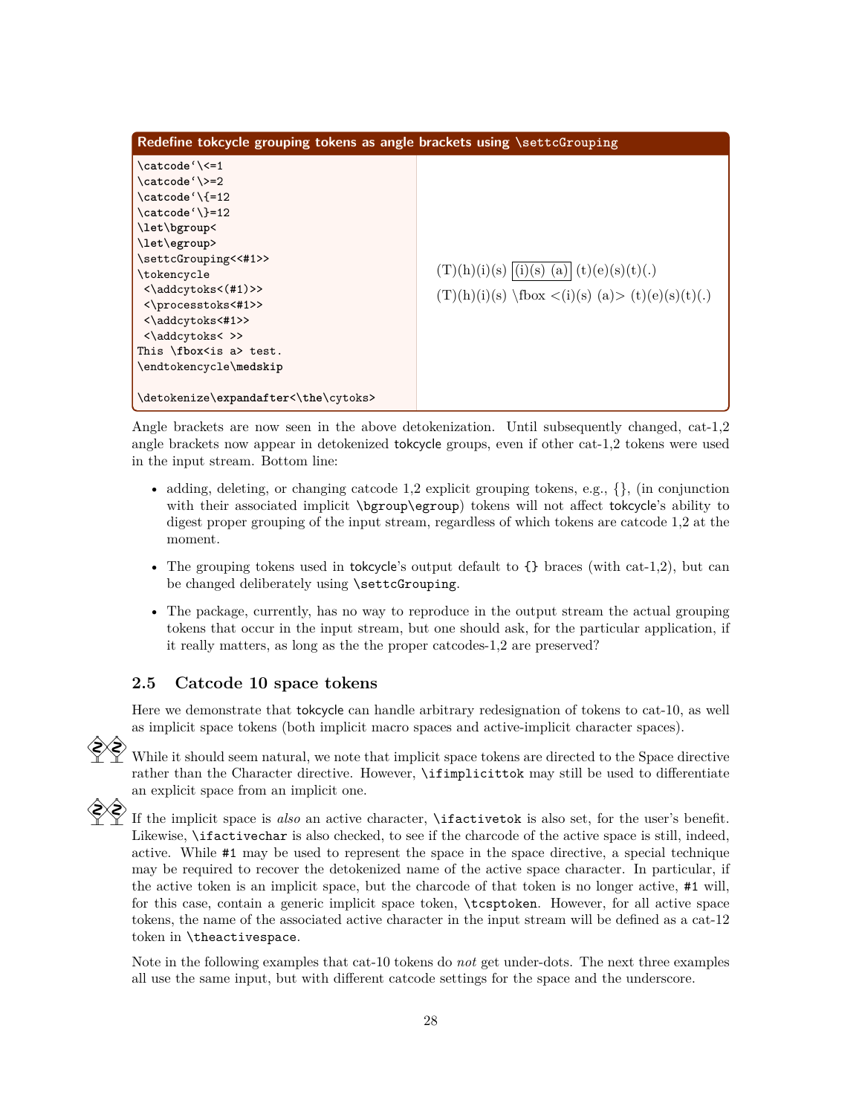| Redefine tokcycle grouping tokens as angle brackets using \settcGrouping                                                                                                                                                                                                                                          |                                                                                                             |  |
|-------------------------------------------------------------------------------------------------------------------------------------------------------------------------------------------------------------------------------------------------------------------------------------------------------------------|-------------------------------------------------------------------------------------------------------------|--|
| \catcode'\<=1<br>\catcode'\>=2<br>\catcode'\{=12<br>\catcode'\}=12<br>\let\bgroup<<br>\let\egroup><br>\settcGrouping<<#1>><br>\tokencycle<br>$\langle \addcytoks\langle #1\rangle \rangle$<br><\processtoks<#1>><br><\addcytoks<#1>><br><\addcytoks<>><br>This $\text{box}$ is a> test.<br>\endtokencycle\medskip | $(T)(h)(i)(s)$ $ (i)(s)$ $(a)  (t)(e)(s)(t)(.)$<br>$(T)(h)(i)(s) \text{box} < (i)(s) (a) > (t)(e)(s)(t)(.)$ |  |
| \detokenize\expandafter<\the\cytoks>                                                                                                                                                                                                                                                                              |                                                                                                             |  |

Angle brackets are now seen in the above detokenization. Until subsequently changed, cat-1,2 angle brackets now appear in detokenized tokcycle groups, even if other cat-1,2 tokens were used in the input stream. Bottom line:

- adding, deleting, or changing catcode 1,2 explicit grouping tokens, e.g.,  $\{\}$ , (in conjunction with their associated implicit \bgroup\egroup) tokens will not affect tokcycle's ability to digest proper grouping of the input stream, regardless of which tokens are catcode 1,2 at the moment.
- The grouping tokens used in tokeycle's output default to  $\{\}$  braces (with cat-1,2), but can be changed deliberately using \settcGrouping.
- The package, currently, has no way to reproduce in the output stream the actual grouping tokens that occur in the input stream, but one should ask, for the particular application, if it really matters, as long as the the proper catcodes-1,2 are preserved?

# **2.5 Catcode 10 space tokens**

Here we demonstrate that tokcycle can handle arbitrary redesignation of tokens to cat-10, as well as implicit space tokens (both implicit macro spaces and active-implicit character spaces).

 $\Diamond$  While it should seem natural, we note that implicit space tokens are directed to the Space directive rather than the Character directive. However, \ifimplicittok may still be used to differentiate an explicit space from an implicit one.



If the implicit space is *also* an active character, **\ifactivetok** is also set, for the user's benefit. Likewise, \ifactivechar is also checked, to see if the charcode of the active space is still, indeed, active. While #1 may be used to represent the space in the space directive, a special technique may be required to recover the detokenized name of the active space character. In particular, if the active token is an implicit space, but the charcode of that token is no longer active, #1 will, for this case, contain a generic implicit space token, \tcsptoken. However, for all active space tokens, the name of the associated active character in the input stream will be defined as a cat-12 token in \theactivespace.

Note in the following examples that cat-10 tokens do *not* get under-dots. The next three examples all use the same input, but with different catcode settings for the space and the underscore.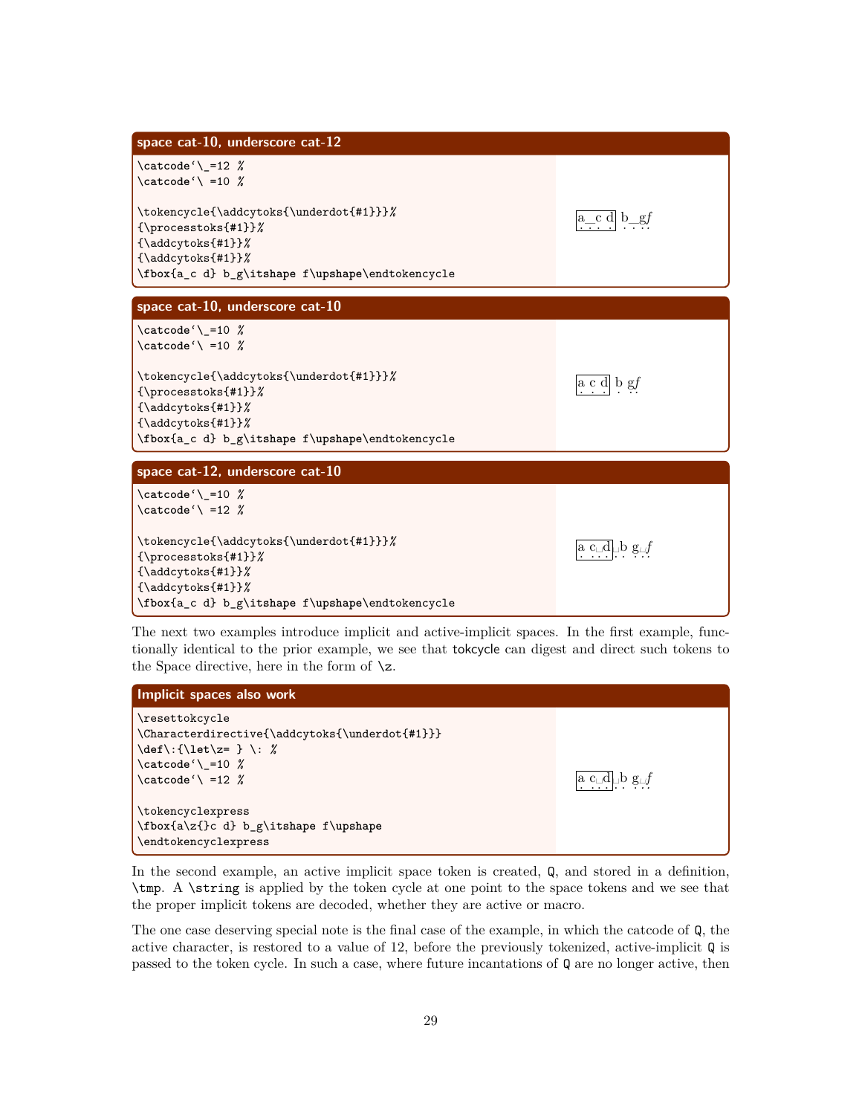

The next two examples introduce implicit and active-implicit spaces. In the first example, functionally identical to the prior example, we see that tokcycle can digest and direct such tokens to the Space directive, here in the form of  $\zeta$ .



In the second example, an active implicit space token is created, Q, and stored in a definition, \tmp. A \string is applied by the token cycle at one point to the space tokens and we see that the proper implicit tokens are decoded, whether they are active or macro.

The one case deserving special note is the final case of the example, in which the catcode of Q, the active character, is restored to a value of 12, before the previously tokenized, active-implicit Q is passed to the token cycle. In such a case, where future incantations of Q are no longer active, then